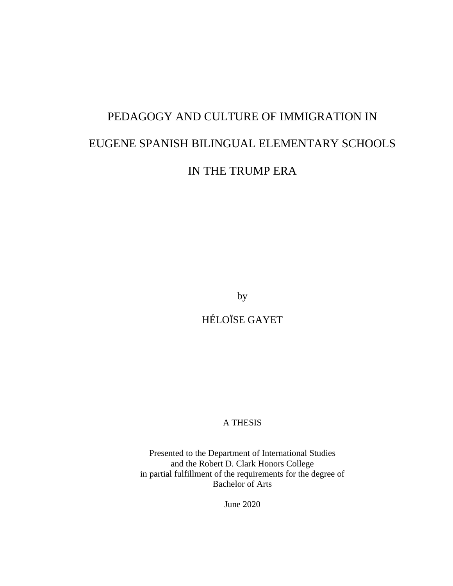# PEDAGOGY AND CULTURE OF IMMIGRATION IN EUGENE SPANISH BILINGUAL ELEMENTARY SCHOOLS IN THE TRUMP ERA

by

HÉLOÏSE GAYET

## A THESIS

Presented to the Department of International Studies and the Robert D. Clark Honors College in partial fulfillment of the requirements for the degree of Bachelor of Arts

June 2020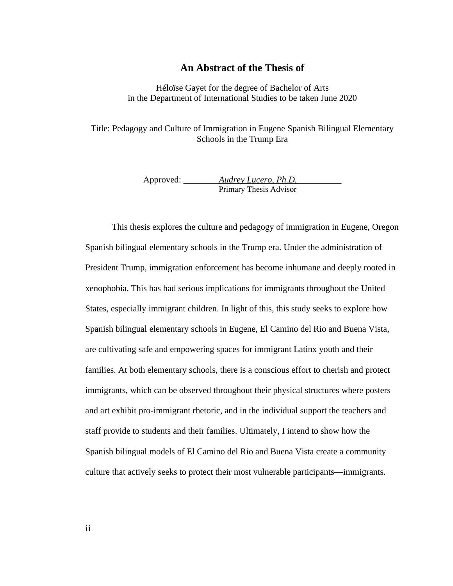## **An Abstract of the Thesis of**

Héloïse Gayet for the degree of Bachelor of Arts in the Department of International Studies to be taken June 2020

Title: Pedagogy and Culture of Immigration in Eugene Spanish Bilingual Elementary Schools in the Trump Era

> Approved: \_\_\_\_\_\_\_\_\_\_*Audrey Lucero, Ph.D.* Primary Thesis Advisor

This thesis explores the culture and pedagogy of immigration in Eugene, Oregon Spanish bilingual elementary schools in the Trump era. Under the administration of President Trump, immigration enforcement has become inhumane and deeply rooted in xenophobia. This has had serious implications for immigrants throughout the United States, especially immigrant children. In light of this, this study seeks to explore how Spanish bilingual elementary schools in Eugene, El Camino del Rio and Buena Vista, are cultivating safe and empowering spaces for immigrant Latinx youth and their families. At both elementary schools, there is a conscious effort to cherish and protect immigrants, which can be observed throughout their physical structures where posters and art exhibit pro-immigrant rhetoric, and in the individual support the teachers and staff provide to students and their families. Ultimately, I intend to show how the Spanish bilingual models of El Camino del Rio and Buena Vista create a community culture that actively seeks to protect their most vulnerable participants—immigrants.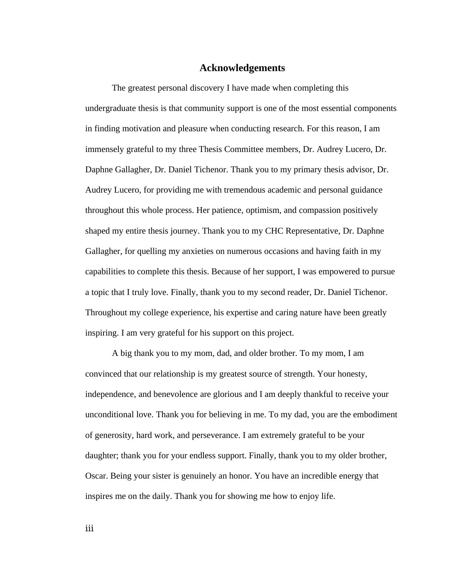## **Acknowledgements**

The greatest personal discovery I have made when completing this undergraduate thesis is that community support is one of the most essential components in finding motivation and pleasure when conducting research. For this reason, I am immensely grateful to my three Thesis Committee members, Dr. Audrey Lucero, Dr. Daphne Gallagher, Dr. Daniel Tichenor. Thank you to my primary thesis advisor, Dr. Audrey Lucero, for providing me with tremendous academic and personal guidance throughout this whole process. Her patience, optimism, and compassion positively shaped my entire thesis journey. Thank you to my CHC Representative, Dr. Daphne Gallagher, for quelling my anxieties on numerous occasions and having faith in my capabilities to complete this thesis. Because of her support, I was empowered to pursue a topic that I truly love. Finally, thank you to my second reader, Dr. Daniel Tichenor. Throughout my college experience, his expertise and caring nature have been greatly inspiring. I am very grateful for his support on this project.

A big thank you to my mom, dad, and older brother. To my mom, I am convinced that our relationship is my greatest source of strength. Your honesty, independence, and benevolence are glorious and I am deeply thankful to receive your unconditional love. Thank you for believing in me. To my dad, you are the embodiment of generosity, hard work, and perseverance. I am extremely grateful to be your daughter; thank you for your endless support. Finally, thank you to my older brother, Oscar. Being your sister is genuinely an honor. You have an incredible energy that inspires me on the daily. Thank you for showing me how to enjoy life.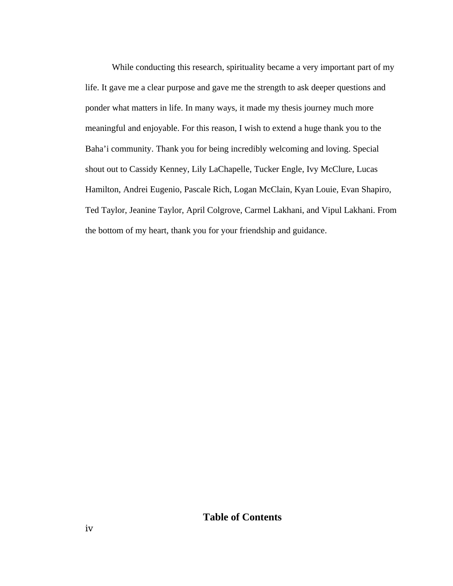While conducting this research, spirituality became a very important part of my life. It gave me a clear purpose and gave me the strength to ask deeper questions and ponder what matters in life. In many ways, it made my thesis journey much more meaningful and enjoyable. For this reason, I wish to extend a huge thank you to the Baha'i community. Thank you for being incredibly welcoming and loving. Special shout out to Cassidy Kenney, Lily LaChapelle, Tucker Engle, Ivy McClure, Lucas Hamilton, Andrei Eugenio, Pascale Rich, Logan McClain, Kyan Louie, Evan Shapiro, Ted Taylor, Jeanine Taylor, April Colgrove, Carmel Lakhani, and Vipul Lakhani. From the bottom of my heart, thank you for your friendship and guidance.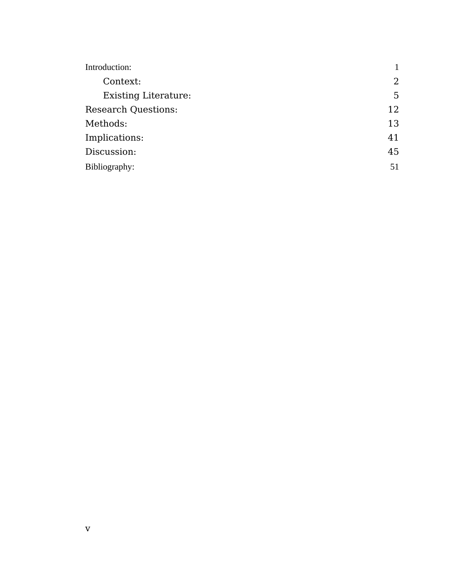| Introduction:               | 1  |
|-----------------------------|----|
| Context:                    | 2  |
| <b>Existing Literature:</b> | 5  |
| <b>Research Questions:</b>  | 12 |
| Methods:                    | 13 |
| Implications:               | 41 |
| Discussion:                 | 45 |
| Bibliography:               | 51 |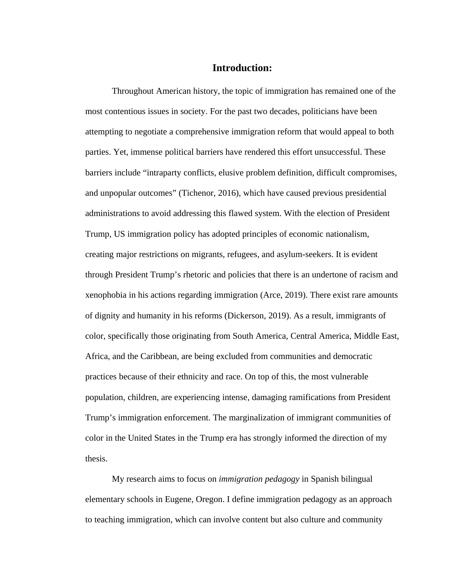## **Introduction:**

Throughout American history, the topic of immigration has remained one of the most contentious issues in society. For the past two decades, politicians have been attempting to negotiate a comprehensive immigration reform that would appeal to both parties. Yet, immense political barriers have rendered this effort unsuccessful. These barriers include "intraparty conflicts, elusive problem definition, difficult compromises, and unpopular outcomes" (Tichenor, 2016), which have caused previous presidential administrations to avoid addressing this flawed system. With the election of President Trump, US immigration policy has adopted principles of economic nationalism, creating major restrictions on migrants, refugees, and asylum-seekers. It is evident through President Trump's rhetoric and policies that there is an undertone of racism and xenophobia in his actions regarding immigration (Arce, 2019). There exist rare amounts of dignity and humanity in his reforms (Dickerson, 2019). As a result, immigrants of color, specifically those originating from South America, Central America, Middle East, Africa, and the Caribbean, are being excluded from communities and democratic practices because of their ethnicity and race. On top of this, the most vulnerable population, children, are experiencing intense, damaging ramifications from President Trump's immigration enforcement. The marginalization of immigrant communities of color in the United States in the Trump era has strongly informed the direction of my thesis.

My research aims to focus on *immigration pedagogy* in Spanish bilingual elementary schools in Eugene, Oregon. I define immigration pedagogy as an approach to teaching immigration, which can involve content but also culture and community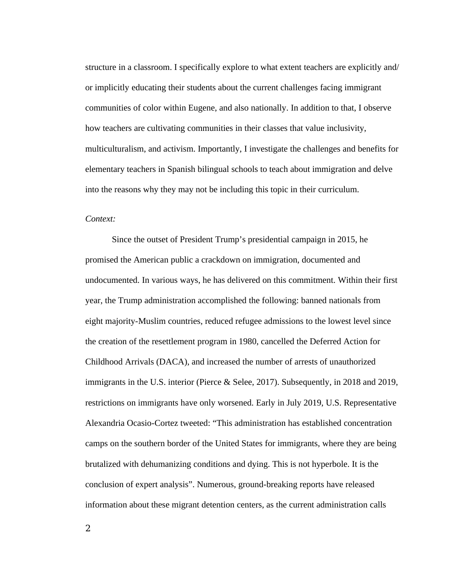structure in a classroom. I specifically explore to what extent teachers are explicitly and/ or implicitly educating their students about the current challenges facing immigrant communities of color within Eugene, and also nationally. In addition to that, I observe how teachers are cultivating communities in their classes that value inclusivity, multiculturalism, and activism. Importantly, I investigate the challenges and benefits for elementary teachers in Spanish bilingual schools to teach about immigration and delve into the reasons why they may not be including this topic in their curriculum.

## *Context:*

Since the outset of President Trump's presidential campaign in 2015, he promised the American public a crackdown on immigration, documented and undocumented. In various ways, he has delivered on this commitment. Within their first year, the Trump administration accomplished the following: banned nationals from eight majority-Muslim countries, reduced refugee admissions to the lowest level since the creation of the resettlement program in 1980, cancelled the Deferred Action for Childhood Arrivals (DACA), and increased the number of arrests of unauthorized immigrants in the U.S. interior (Pierce & Selee, 2017). Subsequently, in 2018 and 2019, restrictions on immigrants have only worsened. Early in July 2019, U.S. Representative Alexandria Ocasio-Cortez tweeted: "This administration has established concentration camps on the southern border of the United States for immigrants, where they are being brutalized with dehumanizing conditions and dying. This is not hyperbole. It is the conclusion of expert analysis". Numerous, ground-breaking reports have released information about these migrant detention centers, as the current administration calls

 $\overline{2}$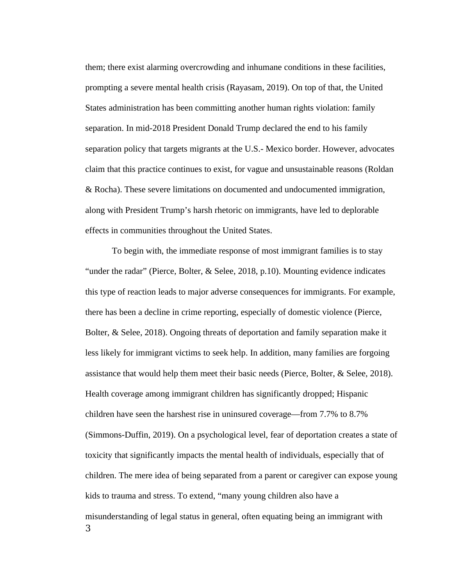them; there exist alarming overcrowding and inhumane conditions in these facilities, prompting a severe mental health crisis (Rayasam, 2019). On top of that, the United States administration has been committing another human rights violation: family separation. In mid-2018 President Donald Trump declared the end to his family separation policy that targets migrants at the U.S.- Mexico border. However, advocates claim that this practice continues to exist, for vague and unsustainable reasons (Roldan & Rocha). These severe limitations on documented and undocumented immigration, along with President Trump's harsh rhetoric on immigrants, have led to deplorable effects in communities throughout the United States.

To begin with, the immediate response of most immigrant families is to stay "under the radar" (Pierce, Bolter, & Selee, 2018, p.10). Mounting evidence indicates this type of reaction leads to major adverse consequences for immigrants. For example, there has been a decline in crime reporting, especially of domestic violence (Pierce, Bolter, & Selee, 2018). Ongoing threats of deportation and family separation make it less likely for immigrant victims to seek help. In addition, many families are forgoing assistance that would help them meet their basic needs (Pierce, Bolter, & Selee, 2018). Health coverage among immigrant children has significantly dropped; Hispanic children have seen the harshest rise in uninsured coverage—from 7.7% to 8.7% (Simmons-Duffin, 2019). On a psychological level, fear of deportation creates a state of toxicity that significantly impacts the mental health of individuals, especially that of children. The mere idea of being separated from a parent or caregiver can expose young kids to trauma and stress. To extend, "many young children also have a misunderstanding of legal status in general, often equating being an immigrant with 3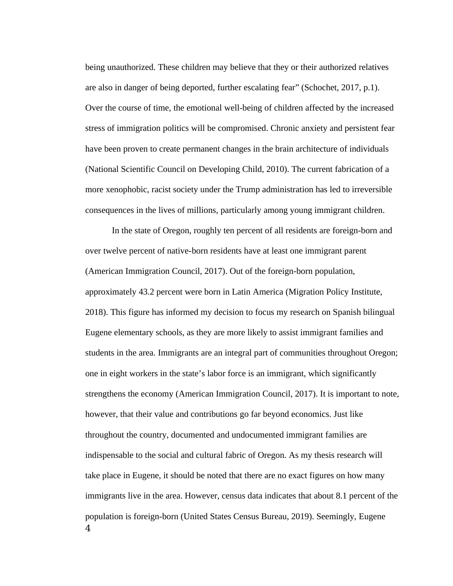being unauthorized. These children may believe that they or their authorized relatives are also in danger of being deported, further escalating fear" (Schochet, 2017, p.1). Over the course of time, the emotional well-being of children affected by the increased stress of immigration politics will be compromised. Chronic anxiety and persistent fear have been proven to create permanent changes in the brain architecture of individuals (National Scientific Council on Developing Child, 2010). The current fabrication of a more xenophobic, racist society under the Trump administration has led to irreversible consequences in the lives of millions, particularly among young immigrant children.

In the state of Oregon, roughly ten percent of all residents are foreign-born and over twelve percent of native-born residents have at least one immigrant parent (American Immigration Council, 2017). Out of the foreign-born population, approximately 43.2 percent were born in Latin America (Migration Policy Institute, 2018). This figure has informed my decision to focus my research on Spanish bilingual Eugene elementary schools, as they are more likely to assist immigrant families and students in the area. Immigrants are an integral part of communities throughout Oregon; one in eight workers in the state's labor force is an immigrant, which significantly strengthens the economy (American Immigration Council, 2017). It is important to note, however, that their value and contributions go far beyond economics. Just like throughout the country, documented and undocumented immigrant families are indispensable to the social and cultural fabric of Oregon. As my thesis research will take place in Eugene, it should be noted that there are no exact figures on how many immigrants live in the area. However, census data indicates that about 8.1 percent of the population is foreign-born (United States Census Bureau, 2019). Seemingly, Eugene 4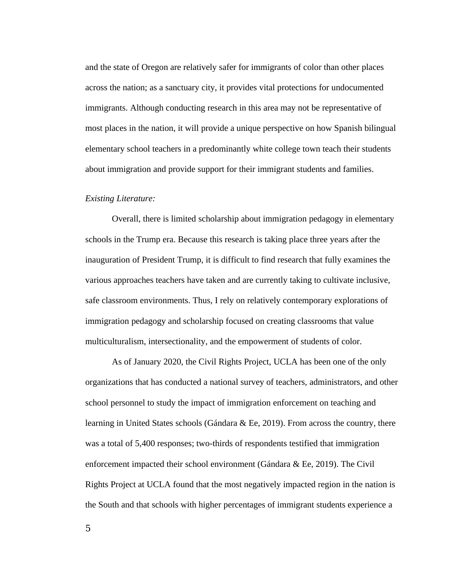and the state of Oregon are relatively safer for immigrants of color than other places across the nation; as a sanctuary city, it provides vital protections for undocumented immigrants. Although conducting research in this area may not be representative of most places in the nation, it will provide a unique perspective on how Spanish bilingual elementary school teachers in a predominantly white college town teach their students about immigration and provide support for their immigrant students and families.

#### *Existing Literature:*

Overall, there is limited scholarship about immigration pedagogy in elementary schools in the Trump era. Because this research is taking place three years after the inauguration of President Trump, it is difficult to find research that fully examines the various approaches teachers have taken and are currently taking to cultivate inclusive, safe classroom environments. Thus, I rely on relatively contemporary explorations of immigration pedagogy and scholarship focused on creating classrooms that value multiculturalism, intersectionality, and the empowerment of students of color.

As of January 2020, the Civil Rights Project, UCLA has been one of the only organizations that has conducted a national survey of teachers, administrators, and other school personnel to study the impact of immigration enforcement on teaching and learning in United States schools (Gándara & Ee, 2019). From across the country, there was a total of 5,400 responses; two-thirds of respondents testified that immigration enforcement impacted their school environment (Gándara & Ee, 2019). The Civil Rights Project at UCLA found that the most negatively impacted region in the nation is the South and that schools with higher percentages of immigrant students experience a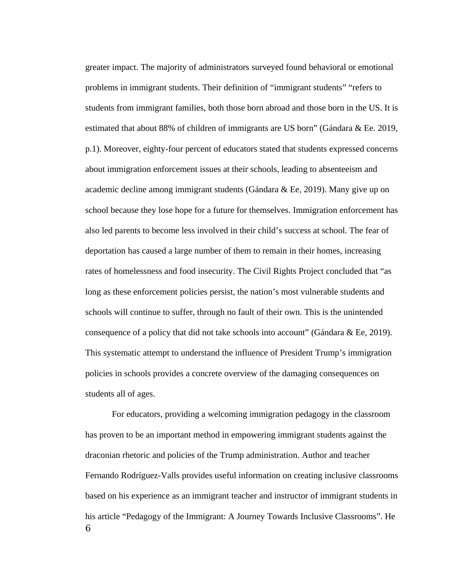greater impact. The majority of administrators surveyed found behavioral or emotional problems in immigrant students. Their definition of "immigrant students" "refers to students from immigrant families, both those born abroad and those born in the US. It is estimated that about 88% of children of immigrants are US born" (Gándara & Ee. 2019, p.1). Moreover, eighty-four percent of educators stated that students expressed concerns about immigration enforcement issues at their schools, leading to absenteeism and academic decline among immigrant students (Gándara & Ee, 2019). Many give up on school because they lose hope for a future for themselves. Immigration enforcement has also led parents to become less involved in their child's success at school. The fear of deportation has caused a large number of them to remain in their homes, increasing rates of homelessness and food insecurity. The Civil Rights Project concluded that "as long as these enforcement policies persist, the nation's most vulnerable students and schools will continue to suffer, through no fault of their own. This is the unintended consequence of a policy that did not take schools into account" (Gándara & Ee, 2019). This systematic attempt to understand the influence of President Trump's immigration policies in schools provides a concrete overview of the damaging consequences on students all of ages.

For educators, providing a welcoming immigration pedagogy in the classroom has proven to be an important method in empowering immigrant students against the draconian rhetoric and policies of the Trump administration. Author and teacher Fernando Rodríguez-Valls provides useful information on creating inclusive classrooms based on his experience as an immigrant teacher and instructor of immigrant students in his article "Pedagogy of the Immigrant: A Journey Towards Inclusive Classrooms". He 6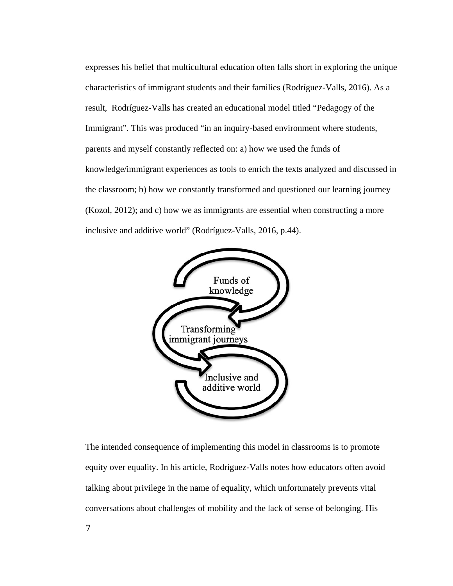expresses his belief that multicultural education often falls short in exploring the unique characteristics of immigrant students and their families (Rodríguez-Valls, 2016). As a result, Rodríguez-Valls has created an educational model titled "Pedagogy of the Immigrant". This was produced "in an inquiry-based environment where students, parents and myself constantly reflected on: a) how we used the funds of knowledge/immigrant experiences as tools to enrich the texts analyzed and discussed in the classroom; b) how we constantly transformed and questioned our learning journey (Kozol, 2012); and c) how we as immigrants are essential when constructing a more inclusive and additive world" (Rodríguez-Valls, 2016, p.44).



The intended consequence of implementing this model in classrooms is to promote equity over equality. In his article, Rodríguez-Valls notes how educators often avoid talking about privilege in the name of equality, which unfortunately prevents vital conversations about challenges of mobility and the lack of sense of belonging. His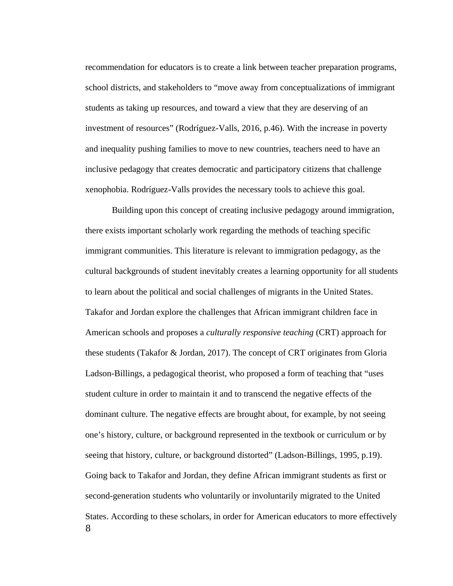recommendation for educators is to create a link between teacher preparation programs, school districts, and stakeholders to "move away from conceptualizations of immigrant students as taking up resources, and toward a view that they are deserving of an investment of resources" (Rodríguez-Valls, 2016, p.46). With the increase in poverty and inequality pushing families to move to new countries, teachers need to have an inclusive pedagogy that creates democratic and participatory citizens that challenge xenophobia. Rodríguez-Valls provides the necessary tools to achieve this goal.

Building upon this concept of creating inclusive pedagogy around immigration, there exists important scholarly work regarding the methods of teaching specific immigrant communities. This literature is relevant to immigration pedagogy, as the cultural backgrounds of student inevitably creates a learning opportunity for all students to learn about the political and social challenges of migrants in the United States. Takafor and Jordan explore the challenges that African immigrant children face in American schools and proposes a *culturally responsive teaching* (CRT) approach for these students (Takafor & Jordan, 2017). The concept of CRT originates from Gloria Ladson-Billings, a pedagogical theorist, who proposed a form of teaching that "uses student culture in order to maintain it and to transcend the negative effects of the dominant culture. The negative effects are brought about, for example, by not seeing one's history, culture, or background represented in the textbook or curriculum or by seeing that history, culture, or background distorted" (Ladson-Billings, 1995, p.19). Going back to Takafor and Jordan, they define African immigrant students as first or second-generation students who voluntarily or involuntarily migrated to the United States. According to these scholars, in order for American educators to more effectively 8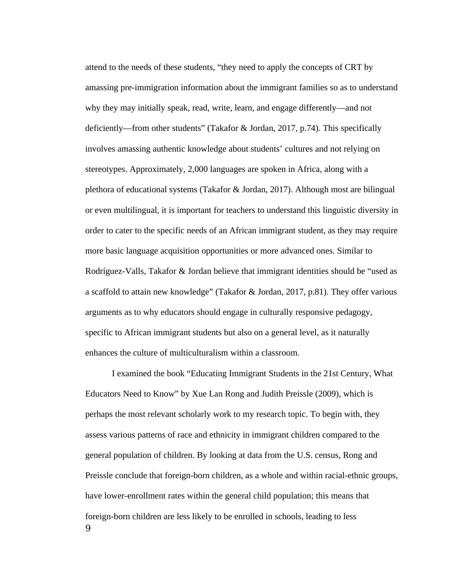attend to the needs of these students, "they need to apply the concepts of CRT by amassing pre-immigration information about the immigrant families so as to understand why they may initially speak, read, write, learn, and engage differently—and not deficiently—from other students" (Takafor & Jordan, 2017, p.74). This specifically involves amassing authentic knowledge about students' cultures and not relying on stereotypes. Approximately, 2,000 languages are spoken in Africa, along with a plethora of educational systems (Takafor & Jordan, 2017). Although most are bilingual or even multilingual, it is important for teachers to understand this linguistic diversity in order to cater to the specific needs of an African immigrant student, as they may require more basic language acquisition opportunities or more advanced ones. Similar to Rodríguez-Valls, Takafor & Jordan believe that immigrant identities should be "used as a scaffold to attain new knowledge" (Takafor & Jordan, 2017, p.81). They offer various arguments as to why educators should engage in culturally responsive pedagogy, specific to African immigrant students but also on a general level, as it naturally enhances the culture of multiculturalism within a classroom.

I examined the book "Educating Immigrant Students in the 21st Century, What Educators Need to Know" by Xue Lan Rong and Judith Preissle (2009), which is perhaps the most relevant scholarly work to my research topic. To begin with, they assess various patterns of race and ethnicity in immigrant children compared to the general population of children. By looking at data from the U.S. census, Rong and Preissle conclude that foreign-born children, as a whole and within racial-ethnic groups, have lower-enrollment rates within the general child population; this means that foreign-born children are less likely to be enrolled in schools, leading to less  $\mathbf{Q}$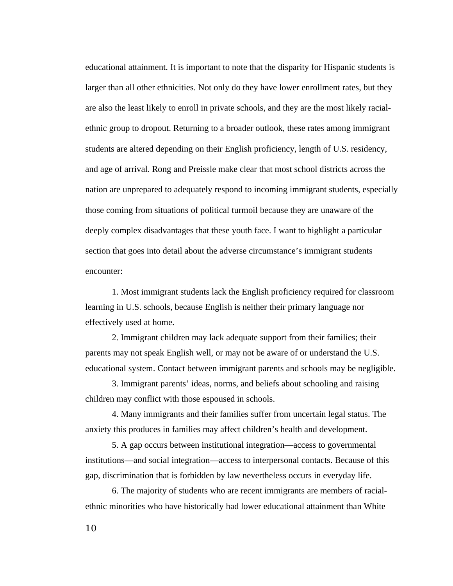educational attainment. It is important to note that the disparity for Hispanic students is larger than all other ethnicities. Not only do they have lower enrollment rates, but they are also the least likely to enroll in private schools, and they are the most likely racialethnic group to dropout. Returning to a broader outlook, these rates among immigrant students are altered depending on their English proficiency, length of U.S. residency, and age of arrival. Rong and Preissle make clear that most school districts across the nation are unprepared to adequately respond to incoming immigrant students, especially those coming from situations of political turmoil because they are unaware of the deeply complex disadvantages that these youth face. I want to highlight a particular section that goes into detail about the adverse circumstance's immigrant students encounter:

1. Most immigrant students lack the English proficiency required for classroom learning in U.S. schools, because English is neither their primary language nor effectively used at home.

2. Immigrant children may lack adequate support from their families; their parents may not speak English well, or may not be aware of or understand the U.S. educational system. Contact between immigrant parents and schools may be negligible.

3. Immigrant parents' ideas, norms, and beliefs about schooling and raising children may conflict with those espoused in schools.

4. Many immigrants and their families suffer from uncertain legal status. The anxiety this produces in families may affect children's health and development.

5. A gap occurs between institutional integration—access to governmental institutions—and social integration—access to interpersonal contacts. Because of this gap, discrimination that is forbidden by law nevertheless occurs in everyday life.

6. The majority of students who are recent immigrants are members of racialethnic minorities who have historically had lower educational attainment than White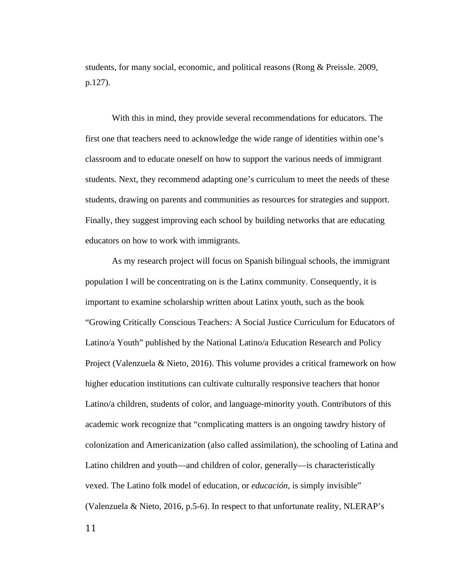students, for many social, economic, and political reasons (Rong & Preissle. 2009, p.127).

With this in mind, they provide several recommendations for educators. The first one that teachers need to acknowledge the wide range of identities within one's classroom and to educate oneself on how to support the various needs of immigrant students. Next, they recommend adapting one's curriculum to meet the needs of these students, drawing on parents and communities as resources for strategies and support. Finally, they suggest improving each school by building networks that are educating educators on how to work with immigrants.

As my research project will focus on Spanish bilingual schools, the immigrant population I will be concentrating on is the Latinx community. Consequently, it is important to examine scholarship written about Latinx youth, such as the book "Growing Critically Conscious Teachers: A Social Justice Curriculum for Educators of Latino/a Youth" published by the National Latino/a Education Research and Policy Project (Valenzuela & Nieto, 2016). This volume provides a critical framework on how higher education institutions can cultivate culturally responsive teachers that honor Latino/a children, students of color, and language-minority youth. Contributors of this academic work recognize that "complicating matters is an ongoing tawdry history of colonization and Americanization (also called assimilation), the schooling of Latina and Latino children and youth—and children of color, generally—is characteristically vexed. The Latino folk model of education, or *educación*, is simply invisible" (Valenzuela & Nieto, 2016, p.5-6). In respect to that unfortunate reality, NLERAP's

11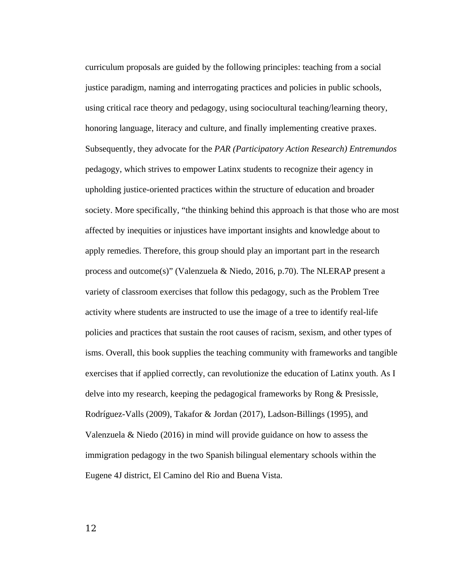curriculum proposals are guided by the following principles: teaching from a social justice paradigm, naming and interrogating practices and policies in public schools, using critical race theory and pedagogy, using sociocultural teaching/learning theory, honoring language, literacy and culture, and finally implementing creative praxes. Subsequently, they advocate for the *PAR (Participatory Action Research) Entremundos* pedagogy, which strives to empower Latinx students to recognize their agency in upholding justice-oriented practices within the structure of education and broader society. More specifically, "the thinking behind this approach is that those who are most affected by inequities or injustices have important insights and knowledge about to apply remedies. Therefore, this group should play an important part in the research process and outcome(s)" (Valenzuela & Niedo, 2016, p.70). The NLERAP present a variety of classroom exercises that follow this pedagogy, such as the Problem Tree activity where students are instructed to use the image of a tree to identify real-life policies and practices that sustain the root causes of racism, sexism, and other types of isms. Overall, this book supplies the teaching community with frameworks and tangible exercises that if applied correctly, can revolutionize the education of Latinx youth. As I delve into my research, keeping the pedagogical frameworks by Rong & Presissle, Rodríguez-Valls (2009), Takafor & Jordan (2017), Ladson-Billings (1995), and Valenzuela & Niedo (2016) in mind will provide guidance on how to assess the immigration pedagogy in the two Spanish bilingual elementary schools within the Eugene 4J district, El Camino del Rio and Buena Vista.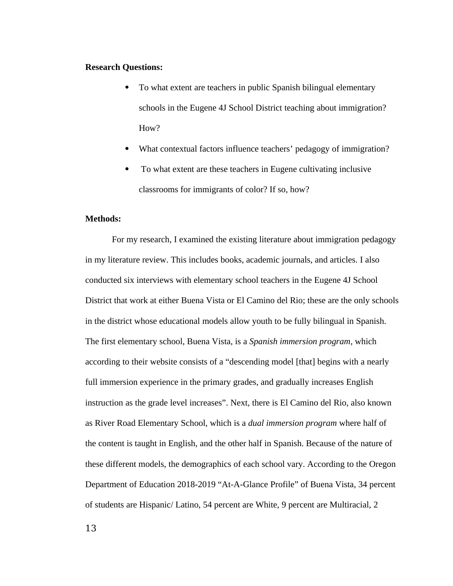### **Research Questions:**

- To what extent are teachers in public Spanish bilingual elementary schools in the Eugene 4J School District teaching about immigration? How?
- What contextual factors influence teachers' pedagogy of immigration?
- To what extent are these teachers in Eugene cultivating inclusive classrooms for immigrants of color? If so, how?

### **Methods:**

For my research, I examined the existing literature about immigration pedagogy in my literature review. This includes books, academic journals, and articles. I also conducted six interviews with elementary school teachers in the Eugene 4J School District that work at either Buena Vista or El Camino del Rio; these are the only schools in the district whose educational models allow youth to be fully bilingual in Spanish. The first elementary school, Buena Vista, is a *Spanish immersion program*, which according to their website consists of a "descending model [that] begins with a nearly full immersion experience in the primary grades, and gradually increases English instruction as the grade level increases". Next, there is El Camino del Rio, also known as River Road Elementary School, which is a *dual immersion program* where half of the content is taught in English, and the other half in Spanish. Because of the nature of these different models, the demographics of each school vary. According to the Oregon Department of Education 2018-2019 "At-A-Glance Profile" of Buena Vista, 34 percent of students are Hispanic/ Latino, 54 percent are White, 9 percent are Multiracial, 2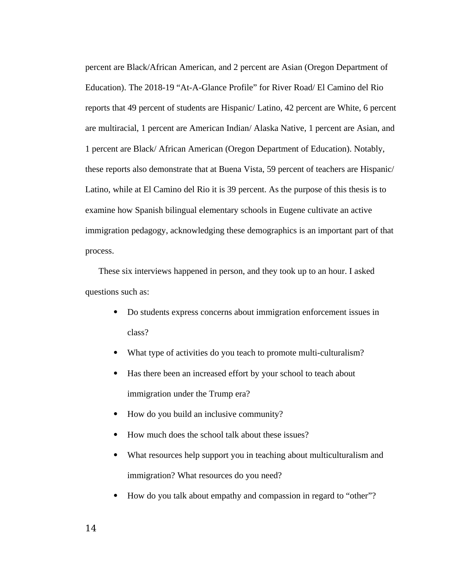percent are Black/African American, and 2 percent are Asian (Oregon Department of Education). The 2018-19 "At-A-Glance Profile" for River Road/ El Camino del Rio reports that 49 percent of students are Hispanic/ Latino, 42 percent are White, 6 percent are multiracial, 1 percent are American Indian/ Alaska Native, 1 percent are Asian, and 1 percent are Black/ African American (Oregon Department of Education). Notably, these reports also demonstrate that at Buena Vista, 59 percent of teachers are Hispanic/ Latino, while at El Camino del Rio it is 39 percent. As the purpose of this thesis is to examine how Spanish bilingual elementary schools in Eugene cultivate an active immigration pedagogy, acknowledging these demographics is an important part of that process.

These six interviews happened in person, and they took up to an hour. I asked questions such as:

- Do students express concerns about immigration enforcement issues in class?
- What type of activities do you teach to promote multi-culturalism?
- Has there been an increased effort by your school to teach about immigration under the Trump era?
- How do you build an inclusive community?
- How much does the school talk about these issues?
- What resources help support you in teaching about multiculturalism and immigration? What resources do you need?
- How do you talk about empathy and compassion in regard to "other"?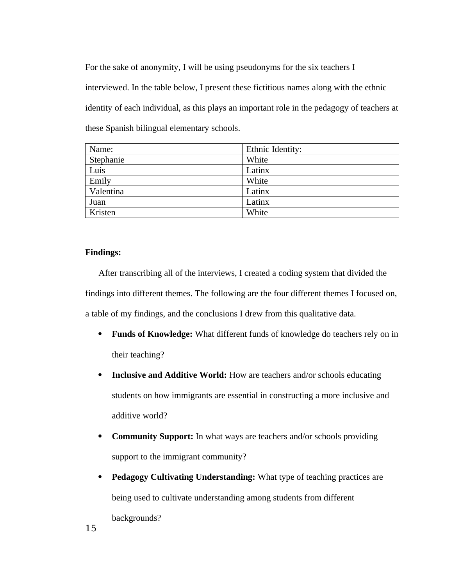For the sake of anonymity, I will be using pseudonyms for the six teachers I interviewed. In the table below, I present these fictitious names along with the ethnic identity of each individual, as this plays an important role in the pedagogy of teachers at these Spanish bilingual elementary schools.

| Name:     | Ethnic Identity: |
|-----------|------------------|
| Stephanie | White            |
| Luis      | Latinx           |
| Emily     | White            |
| Valentina | Latinx           |
| Juan      | Latinx           |
| Kristen   | White            |

## **Findings:**

After transcribing all of the interviews, I created a coding system that divided the findings into different themes. The following are the four different themes I focused on, a table of my findings, and the conclusions I drew from this qualitative data.

- **Funds of Knowledge:** What different funds of knowledge do teachers rely on in their teaching?
- **Inclusive and Additive World:** How are teachers and/or schools educating students on how immigrants are essential in constructing a more inclusive and additive world?
- **Community Support:** In what ways are teachers and/or schools providing support to the immigrant community?
- **Pedagogy Cultivating Understanding:** What type of teaching practices are being used to cultivate understanding among students from different backgrounds?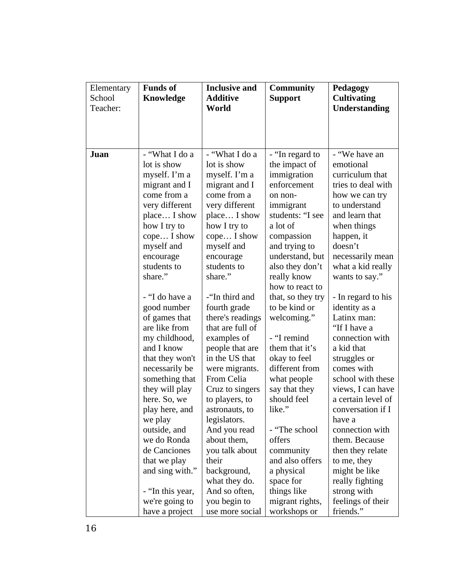| Elementary | <b>Funds of</b>  | <b>Inclusive and</b> | Community         | Pedagogy             |
|------------|------------------|----------------------|-------------------|----------------------|
| School     | Knowledge        | <b>Additive</b>      | <b>Support</b>    | <b>Cultivating</b>   |
| Teacher:   |                  | World                |                   | <b>Understanding</b> |
|            |                  |                      |                   |                      |
|            |                  |                      |                   |                      |
|            |                  |                      |                   |                      |
| Juan       | - "What I do a   | - "What I do a       | - "In regard to   | - "We have an        |
|            | lot is show      | lot is show          | the impact of     | emotional            |
|            | myself. I'm a    | myself. I'm a        | immigration       | curriculum that      |
|            | migrant and I    | migrant and I        | enforcement       | tries to deal with   |
|            | come from a      | come from a          | on non-           | how we can try       |
|            | very different   | very different       | immigrant         | to understand        |
|            | place I show     | place I show         | students: "I see  | and learn that       |
|            | how I try to     | how I try to         | a lot of          | when things          |
|            | cope I show      | cope I show          | compassion        | happen, it           |
|            | myself and       | myself and           | and trying to     | doesn't              |
|            | encourage        | encourage            | understand, but   | necessarily mean     |
|            | students to      | students to          | also they don't   | what a kid really    |
|            | share."          | share."              | really know       | wants to say."       |
|            |                  |                      | how to react to   |                      |
|            | - "I do have a   | -"In third and       | that, so they try | - In regard to his   |
|            | good number      | fourth grade         | to be kind or     | identity as a        |
|            | of games that    | there's readings     | welcoming."       | Latinx man:          |
|            | are like from    | that are full of     |                   | "If I have a         |
|            | my childhood,    | examples of          | - "I remind       | connection with      |
|            | and I know       | people that are      | them that it's    | a kid that           |
|            | that they won't  | in the US that       | okay to feel      | struggles or         |
|            | necessarily be   | were migrants.       | different from    | comes with           |
|            | something that   | From Celia           | what people       | school with these    |
|            | they will play   | Cruz to singers      | say that they     | views, I can have    |
|            | here. So, we     | to players, to       | should feel       | a certain level of   |
|            | play here, and   | astronauts, to       | like."            | conversation if I    |
|            | we play          | legislators.         |                   | have a               |
|            | outside, and     | And you read         | - "The school     | connection with      |
|            | we do Ronda      | about them,          | offers            | them. Because        |
|            | de Canciones     | you talk about       | community         | then they relate     |
|            | that we play     | their                | and also offers   | to me, they          |
|            | and sing with."  | background,          | a physical        | might be like        |
|            |                  | what they do.        | space for         | really fighting      |
|            | - "In this year, | And so often,        | things like       | strong with          |
|            | we're going to   | you begin to         | migrant rights,   | feelings of their    |
|            | have a project   | use more social      | workshops or      | friends."            |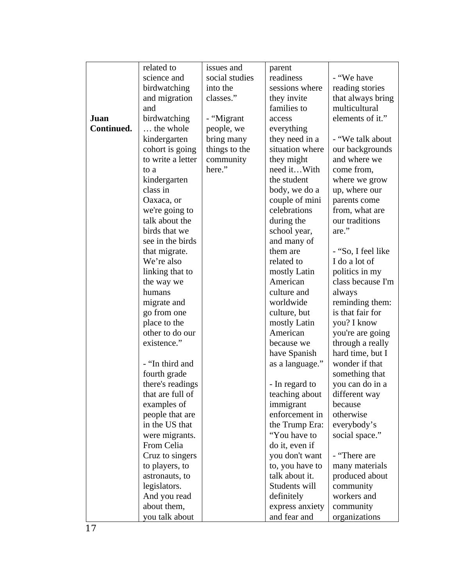|            | related to                       | issues and     | parent                            |                                  |
|------------|----------------------------------|----------------|-----------------------------------|----------------------------------|
|            | science and                      | social studies | readiness                         | - "We have                       |
|            | birdwatching                     | into the       | sessions where                    | reading stories                  |
|            | and migration                    | classes."      | they invite                       | that always bring                |
|            | and                              |                | families to                       | multicultural                    |
| Juan       | birdwatching                     | - "Migrant     | access                            | elements of it."                 |
| Continued. | the whole                        | people, we     | everything                        |                                  |
|            | kindergarten                     | bring many     | they need in a                    | - "We talk about                 |
|            | cohort is going                  | things to the  | situation where                   | our backgrounds                  |
|            | to write a letter                | community      | they might                        | and where we                     |
|            | to a                             | here."         | need itWith                       | come from,                       |
|            | kindergarten                     |                | the student                       | where we grow                    |
|            | class in                         |                | body, we do a                     | up, where our                    |
|            | Oaxaca, or                       |                | couple of mini                    | parents come                     |
|            | we're going to                   |                | celebrations                      | from, what are                   |
|            | talk about the                   |                | during the                        | our traditions                   |
|            | birds that we                    |                | school year,                      | are."                            |
|            | see in the birds                 |                | and many of                       |                                  |
|            | that migrate.                    |                | them are                          | - "So, I feel like               |
|            | We're also                       |                | related to                        | I do a lot of                    |
|            | linking that to                  |                | mostly Latin                      | politics in my                   |
|            | the way we                       |                | American                          | class because I'm                |
|            | humans                           |                | culture and                       | always                           |
|            | migrate and                      |                | worldwide                         | reminding them:                  |
|            | go from one                      |                | culture, but                      | is that fair for                 |
|            | place to the                     |                | mostly Latin                      | you? I know                      |
|            | other to do our                  |                | American                          | you're are going                 |
|            | existence."                      |                | because we                        | through a really                 |
|            |                                  |                | have Spanish                      | hard time, but I                 |
|            | - "In third and                  |                | as a language."                   | wonder if that                   |
|            | fourth grade                     |                |                                   | something that                   |
|            | there's readings                 |                | - In regard to                    | you can do in a                  |
|            | that are full of                 |                | teaching about                    | different way                    |
|            | examples of                      |                | immigrant                         | because                          |
|            | people that are                  |                | enforcement in                    | otherwise                        |
|            | in the US that                   |                | the Trump Era:<br>"You have to    | everybody's                      |
|            | were migrants.                   |                |                                   | social space."                   |
|            | From Celia                       |                | do it, even if                    | - "There are                     |
|            | Cruz to singers                  |                | you don't want<br>to, you have to |                                  |
|            | to players, to<br>astronauts, to |                | talk about it.                    | many materials<br>produced about |
|            | legislators.                     |                | Students will                     | community                        |
|            | And you read                     |                | definitely                        | workers and                      |
|            | about them,                      |                | express anxiety                   | community                        |
|            | you talk about                   |                | and fear and                      | organizations                    |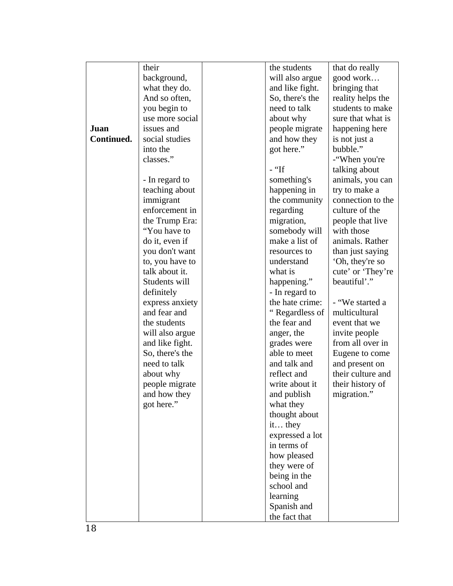|            | their                      | the students             | that do really    |
|------------|----------------------------|--------------------------|-------------------|
|            | background,                | will also argue          | good work         |
|            | what they do.              | and like fight.          | bringing that     |
|            | And so often,              | So, there's the          | reality helps the |
|            | you begin to               | need to talk             | students to make  |
|            | use more social            | about why                | sure that what is |
| Juan       | issues and                 | people migrate           | happening here    |
| Continued. | social studies             | and how they             | is not just a     |
|            | into the                   | got here."               | bubble."          |
|            | classes."                  |                          | -"When you're     |
|            |                            | $-$ "If                  | talking about     |
|            | - In regard to             | something's              | animals, you can  |
|            | teaching about             | happening in             | try to make a     |
|            | immigrant                  | the community            | connection to the |
|            | enforcement in             | regarding                | culture of the    |
|            | the Trump Era:             | migration,               | people that live  |
|            | "You have to               | somebody will            | with those        |
|            | do it, even if             | make a list of           | animals. Rather   |
|            | you don't want             | resources to             | than just saying  |
|            | to, you have to            | understand               | 'Oh, they're so   |
|            | talk about it.             | what is                  | cute' or 'They're |
|            | Students will              | happening."              | beautiful'."      |
|            | definitely                 | - In regard to           |                   |
|            | express anxiety            | the hate crime:          | - "We started a   |
|            | and fear and               | "Regardless of           | multicultural     |
|            | the students               | the fear and             | event that we     |
|            | will also argue            | anger, the               | invite people     |
|            | and like fight.            | grades were              | from all over in  |
|            | So, there's the            | able to meet             | Eugene to come    |
|            | need to talk               | and talk and             | and present on    |
|            | about why                  | reflect and              | their culture and |
|            | people migrate             | write about it           | their history of  |
|            | and how they<br>got here." | and publish<br>what they | migration."       |
|            |                            |                          |                   |
|            |                            | thought about<br>it they |                   |
|            |                            | expressed a lot          |                   |
|            |                            | in terms of              |                   |
|            |                            | how pleased              |                   |
|            |                            | they were of             |                   |
|            |                            | being in the             |                   |
|            |                            | school and               |                   |
|            |                            | learning                 |                   |
|            |                            | Spanish and              |                   |
|            |                            | the fact that            |                   |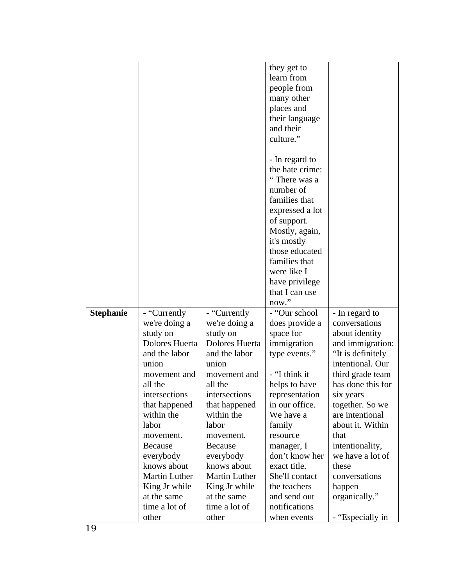|                  |                         |                         | they get to<br>learn from       |                                       |
|------------------|-------------------------|-------------------------|---------------------------------|---------------------------------------|
|                  |                         |                         | people from                     |                                       |
|                  |                         |                         | many other                      |                                       |
|                  |                         |                         | places and                      |                                       |
|                  |                         |                         | their language                  |                                       |
|                  |                         |                         | and their                       |                                       |
|                  |                         |                         | culture."                       |                                       |
|                  |                         |                         |                                 |                                       |
|                  |                         |                         | - In regard to                  |                                       |
|                  |                         |                         | the hate crime:                 |                                       |
|                  |                         |                         | " There was a                   |                                       |
|                  |                         |                         | number of                       |                                       |
|                  |                         |                         | families that                   |                                       |
|                  |                         |                         | expressed a lot                 |                                       |
|                  |                         |                         | of support.                     |                                       |
|                  |                         |                         | Mostly, again,                  |                                       |
|                  |                         |                         | it's mostly                     |                                       |
|                  |                         |                         | those educated                  |                                       |
|                  |                         |                         | families that                   |                                       |
|                  |                         |                         | were like I                     |                                       |
|                  |                         |                         | have privilege                  |                                       |
|                  |                         |                         | that I can use                  |                                       |
|                  |                         |                         | now."                           |                                       |
| <b>Stephanie</b> | - "Currently            | - "Currently            | - "Our school                   | - In regard to                        |
|                  | we're doing a           | we're doing a           | does provide a                  | conversations                         |
|                  | study on                | study on                | space for                       | about identity                        |
|                  | Dolores Huerta          | Dolores Huerta          | immigration                     | and immigration:                      |
|                  | and the labor           | and the labor           | type events."                   | "It is definitely                     |
|                  | union                   | union                   |                                 | intentional. Our                      |
|                  | movement and<br>all the | movement and<br>all the | - "I think it                   | third grade team<br>has done this for |
|                  | intersections           | intersections           | helps to have<br>representation | six years                             |
|                  | that happened           | that happened           | in our office.                  | together. So we                       |
|                  | within the              | within the              | We have a                       | are intentional                       |
|                  | labor                   | labor                   | family                          | about it. Within                      |
|                  | movement.               | movement.               | resource                        | that                                  |
|                  | <b>Because</b>          | <b>Because</b>          | manager, I                      | intentionality,                       |
|                  | everybody               | everybody               | don't know her                  | we have a lot of                      |
|                  | knows about             | knows about             | exact title.                    | these                                 |
|                  | Martin Luther           | <b>Martin Luther</b>    | She'll contact                  | conversations                         |
|                  | King Jr while           | King Jr while           | the teachers                    | happen                                |
|                  | at the same             | at the same             | and send out                    | organically."                         |
|                  | time a lot of           | time a lot of           | notifications                   |                                       |
|                  | other                   | other                   | when events                     | - "Especially in                      |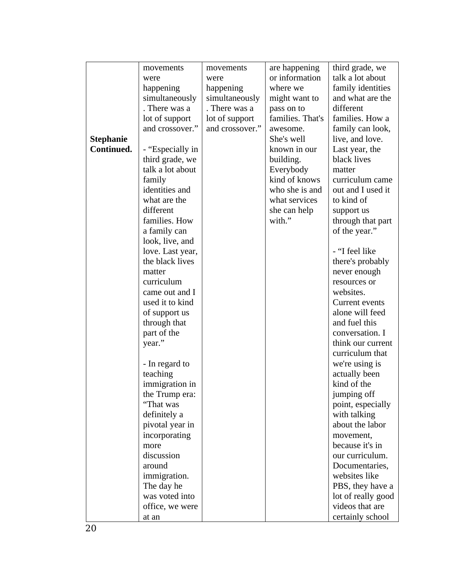|                  | movements        | movements       | are happening    | third grade, we    |
|------------------|------------------|-----------------|------------------|--------------------|
|                  | were             | were            | or information   | talk a lot about   |
|                  | happening        | happening       | where we         | family identities  |
|                  | simultaneously   | simultaneously  | might want to    | and what are the   |
|                  | . There was a    | . There was a   | pass on to       | different          |
|                  | lot of support   | lot of support  | families. That's | families. How a    |
|                  | and crossover."  | and crossover." | awesome.         | family can look,   |
| <b>Stephanie</b> |                  |                 | She's well       | live, and love.    |
| Continued.       | - "Especially in |                 | known in our     | Last year, the     |
|                  | third grade, we  |                 | building.        | black lives        |
|                  | talk a lot about |                 | Everybody        | matter             |
|                  | family           |                 | kind of knows    | curriculum came    |
|                  | identities and   |                 | who she is and   | out and I used it  |
|                  | what are the     |                 | what services    | to kind of         |
|                  | different        |                 | she can help     | support us         |
|                  | families. How    |                 | with."           | through that part  |
|                  | a family can     |                 |                  | of the year."      |
|                  | look, live, and  |                 |                  |                    |
|                  | love. Last year, |                 |                  | - "I feel like     |
|                  | the black lives  |                 |                  | there's probably   |
|                  | matter           |                 |                  | never enough       |
|                  | curriculum       |                 |                  | resources or       |
|                  | came out and I   |                 |                  | websites.          |
|                  | used it to kind  |                 |                  | Current events     |
|                  | of support us    |                 |                  | alone will feed    |
|                  | through that     |                 |                  | and fuel this      |
|                  | part of the      |                 |                  | conversation. I    |
|                  | year."           |                 |                  | think our current  |
|                  |                  |                 |                  | curriculum that    |
|                  | - In regard to   |                 |                  | we're using is     |
|                  | teaching         |                 |                  | actually been      |
|                  | immigration in   |                 |                  | kind of the        |
|                  | the Trump era:   |                 |                  | jumping off        |
|                  | "That was        |                 |                  | point, especially  |
|                  | definitely a     |                 |                  | with talking       |
|                  | pivotal year in  |                 |                  | about the labor    |
|                  | incorporating    |                 |                  | movement,          |
|                  | more             |                 |                  | because it's in    |
|                  | discussion       |                 |                  | our curriculum.    |
|                  | around           |                 |                  | Documentaries,     |
|                  | immigration.     |                 |                  | websites like      |
|                  | The day he       |                 |                  | PBS, they have a   |
|                  | was voted into   |                 |                  | lot of really good |
|                  | office, we were  |                 |                  | videos that are    |
|                  | at an            |                 |                  | certainly school   |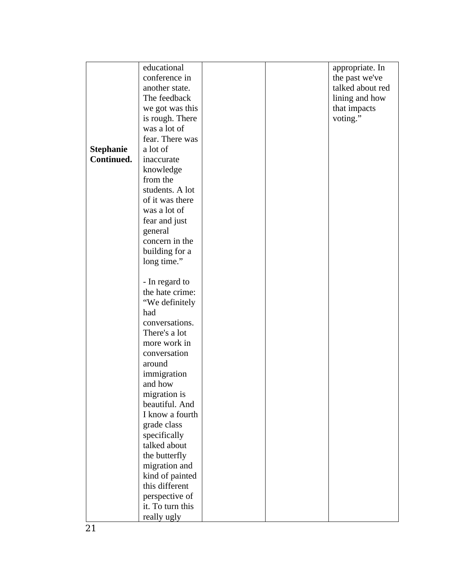|                  | educational      |  | appropriate. In  |
|------------------|------------------|--|------------------|
|                  | conference in    |  | the past we've   |
|                  | another state.   |  | talked about red |
|                  | The feedback     |  | lining and how   |
|                  | we got was this  |  | that impacts     |
|                  | is rough. There  |  | voting."         |
|                  | was a lot of     |  |                  |
|                  | fear. There was  |  |                  |
| <b>Stephanie</b> | a lot of         |  |                  |
| Continued.       | inaccurate       |  |                  |
|                  | knowledge        |  |                  |
|                  | from the         |  |                  |
|                  | students. A lot  |  |                  |
|                  | of it was there  |  |                  |
|                  | was a lot of     |  |                  |
|                  | fear and just    |  |                  |
|                  | general          |  |                  |
|                  | concern in the   |  |                  |
|                  | building for a   |  |                  |
|                  | long time."      |  |                  |
|                  |                  |  |                  |
|                  | - In regard to   |  |                  |
|                  | the hate crime:  |  |                  |
|                  | "We definitely   |  |                  |
|                  | had              |  |                  |
|                  | conversations.   |  |                  |
|                  | There's a lot    |  |                  |
|                  | more work in     |  |                  |
|                  | conversation     |  |                  |
|                  | around           |  |                  |
|                  | immigration      |  |                  |
|                  | and how          |  |                  |
|                  | migration is     |  |                  |
|                  | beautiful. And   |  |                  |
|                  | I know a fourth  |  |                  |
|                  | grade class      |  |                  |
|                  | specifically     |  |                  |
|                  | talked about     |  |                  |
|                  | the butterfly    |  |                  |
|                  | migration and    |  |                  |
|                  | kind of painted  |  |                  |
|                  | this different   |  |                  |
|                  | perspective of   |  |                  |
|                  | it. To turn this |  |                  |
|                  | really ugly      |  |                  |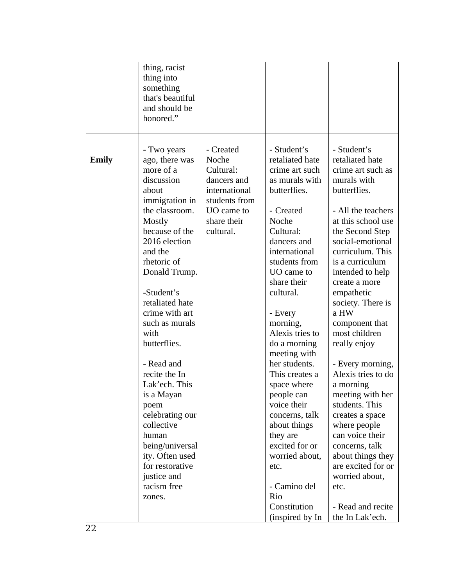|       | thing, racist<br>thing into<br>something<br>that's beautiful<br>and should be<br>honored."                                                                                                                                                                                                                                                                                                                                                                                                                  |                                                                                                                            |                                                                                                                                                                                                                                                                                                                                                                                                                                                                                                            |                                                                                                                                                                                                                                                                                                                                                                                                                                                                                                                                                                                                                |
|-------|-------------------------------------------------------------------------------------------------------------------------------------------------------------------------------------------------------------------------------------------------------------------------------------------------------------------------------------------------------------------------------------------------------------------------------------------------------------------------------------------------------------|----------------------------------------------------------------------------------------------------------------------------|------------------------------------------------------------------------------------------------------------------------------------------------------------------------------------------------------------------------------------------------------------------------------------------------------------------------------------------------------------------------------------------------------------------------------------------------------------------------------------------------------------|----------------------------------------------------------------------------------------------------------------------------------------------------------------------------------------------------------------------------------------------------------------------------------------------------------------------------------------------------------------------------------------------------------------------------------------------------------------------------------------------------------------------------------------------------------------------------------------------------------------|
| Emily | - Two years<br>ago, there was<br>more of a<br>discussion<br>about<br>immigration in<br>the classroom.<br>Mostly<br>because of the<br>2016 election<br>and the<br>rhetoric of<br>Donald Trump.<br>-Student's<br>retaliated hate<br>crime with art<br>such as murals<br>with<br>butterflies.<br>- Read and<br>recite the In<br>Lak'ech. This<br>is a Mayan<br>poem<br>celebrating our<br>collective<br>human<br>being/universal<br>ity. Often used<br>for restorative<br>justice and<br>racism free<br>zones. | - Created<br>Noche<br>Cultural:<br>dancers and<br>international<br>students from<br>UO came to<br>share their<br>cultural. | - Student's<br>retaliated hate<br>crime art such<br>as murals with<br>butterflies.<br>- Created<br>Noche<br>Cultural:<br>dancers and<br>international<br>students from<br>UO came to<br>share their<br>cultural.<br>- Every<br>morning,<br>Alexis tries to<br>do a morning<br>meeting with<br>her students.<br>This creates a<br>space where<br>people can<br>voice their<br>concerns, talk<br>about things<br>they are<br>excited for or<br>worried about,<br>etc.<br>- Camino del<br>Rio<br>Constitution | - Student's<br>retaliated hate<br>crime art such as<br>murals with<br>butterflies.<br>- All the teachers<br>at this school use<br>the Second Step<br>social-emotional<br>curriculum. This<br>is a curriculum<br>intended to help<br>create a more<br>empathetic<br>society. There is<br>a HW<br>component that<br>most children<br>really enjoy<br>- Every morning,<br>Alexis tries to do<br>a morning<br>meeting with her<br>students. This<br>creates a space<br>where people<br>can voice their<br>concerns, talk<br>about things they<br>are excited for or<br>worried about,<br>etc.<br>- Read and recite |
|       |                                                                                                                                                                                                                                                                                                                                                                                                                                                                                                             |                                                                                                                            | (inspired by In                                                                                                                                                                                                                                                                                                                                                                                                                                                                                            | the In Lak'ech.                                                                                                                                                                                                                                                                                                                                                                                                                                                                                                                                                                                                |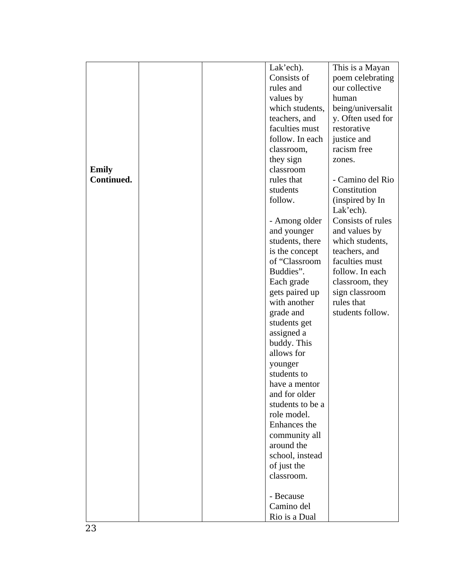|                            |  | Lak'ech).        | This is a Mayan   |
|----------------------------|--|------------------|-------------------|
|                            |  | Consists of      | poem celebrating  |
|                            |  | rules and        | our collective    |
|                            |  | values by        | human             |
|                            |  | which students,  | being/universalit |
|                            |  | teachers, and    | y. Often used for |
|                            |  | faculties must   | restorative       |
|                            |  | follow. In each  | justice and       |
|                            |  | classroom,       | racism free       |
|                            |  | they sign        | zones.            |
|                            |  | classroom        |                   |
| <b>Emily</b><br>Continued. |  | rules that       | - Camino del Rio  |
|                            |  | students         |                   |
|                            |  |                  | Constitution      |
|                            |  | follow.          | (inspired by In   |
|                            |  |                  | Lak'ech).         |
|                            |  | - Among older    | Consists of rules |
|                            |  | and younger      | and values by     |
|                            |  | students, there  | which students,   |
|                            |  | is the concept   | teachers, and     |
|                            |  | of "Classroom    | faculties must    |
|                            |  | Buddies".        | follow. In each   |
|                            |  | Each grade       | classroom, they   |
|                            |  | gets paired up   | sign classroom    |
|                            |  | with another     | rules that        |
|                            |  | grade and        | students follow.  |
|                            |  | students get     |                   |
|                            |  | assigned a       |                   |
|                            |  | buddy. This      |                   |
|                            |  | allows for       |                   |
|                            |  | younger          |                   |
|                            |  | students to      |                   |
|                            |  | have a mentor    |                   |
|                            |  | and for older    |                   |
|                            |  | students to be a |                   |
|                            |  | role model.      |                   |
|                            |  | Enhances the     |                   |
|                            |  | community all    |                   |
|                            |  | around the       |                   |
|                            |  | school, instead  |                   |
|                            |  | of just the      |                   |
|                            |  | classroom.       |                   |
|                            |  |                  |                   |
|                            |  | - Because        |                   |
|                            |  | Camino del       |                   |
|                            |  | Rio is a Dual    |                   |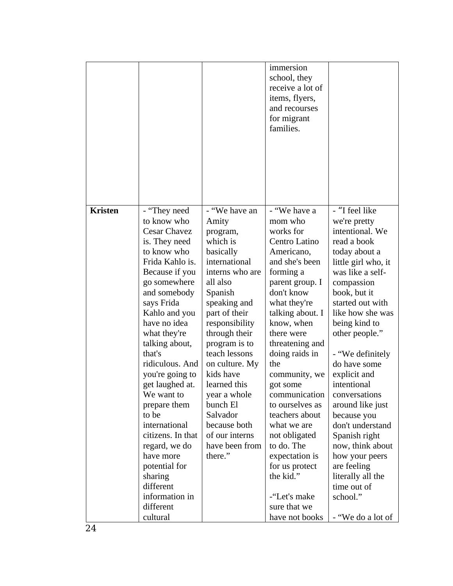|                |                                |                             | immersion<br>school, they<br>receive a lot of<br>items, flyers,<br>and recourses<br>for migrant<br>families. |                                         |
|----------------|--------------------------------|-----------------------------|--------------------------------------------------------------------------------------------------------------|-----------------------------------------|
| <b>Kristen</b> | - "They need<br>to know who    | - "We have an<br>Amity      | - "We have a<br>mom who                                                                                      | - "I feel like<br>we're pretty          |
|                | <b>Cesar Chavez</b>            | program,                    | works for                                                                                                    | intentional. We                         |
|                | is. They need                  | which is                    | Centro Latino                                                                                                | read a book                             |
|                | to know who                    | basically                   | Americano,                                                                                                   | today about a                           |
|                | Frida Kahlo is.                | international               | and she's been                                                                                               | little girl who, it<br>was like a self- |
|                | Because if you<br>go somewhere | interns who are<br>all also | forming a<br>parent group. I                                                                                 | compassion                              |
|                | and somebody                   | Spanish                     | don't know                                                                                                   | book, but it                            |
|                | says Frida                     | speaking and                | what they're                                                                                                 | started out with                        |
|                | Kahlo and you                  | part of their               | talking about. I                                                                                             | like how she was                        |
|                | have no idea                   | responsibility              | know, when                                                                                                   | being kind to                           |
|                | what they're                   | through their               | there were                                                                                                   | other people."                          |
|                | talking about,                 | program is to               | threatening and                                                                                              |                                         |
|                | that's                         | teach lessons               | doing raids in                                                                                               | - "We definitely                        |
|                | ridiculous. And                | on culture. My              | the                                                                                                          | do have some                            |
|                | you're going to                | kids have                   | community, we                                                                                                | explicit and                            |
|                | get laughed at.                | learned this                | got some                                                                                                     | intentional                             |
|                | We want to                     | year a whole<br>bunch El    | communication<br>to ourselves as                                                                             | conversations                           |
|                | prepare them<br>to be          | Salvador                    | teachers about                                                                                               | around like just<br>because you         |
|                | international                  | because both                | what we are                                                                                                  | don't understand                        |
|                | citizens. In that              | of our interns              | not obligated                                                                                                | Spanish right                           |
|                | regard, we do                  | have been from              | to do. The                                                                                                   | now, think about                        |
|                | have more                      | there."                     | expectation is                                                                                               | how your peers                          |
|                | potential for                  |                             | for us protect                                                                                               | are feeling                             |
|                | sharing                        |                             | the kid."                                                                                                    | literally all the                       |
|                | different                      |                             |                                                                                                              | time out of                             |
|                | information in                 |                             | -"Let's make                                                                                                 | school."                                |
|                | different                      |                             | sure that we                                                                                                 |                                         |
|                | cultural                       |                             | have not books                                                                                               | - "We do a lot of                       |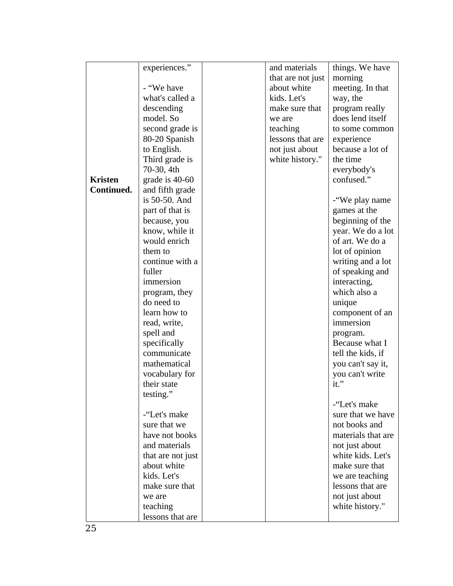|                | experiences."     | and materials     | things. We have    |
|----------------|-------------------|-------------------|--------------------|
|                |                   | that are not just | morning            |
|                | - "We have        | about white       | meeting. In that   |
|                | what's called a   | kids. Let's       | way, the           |
|                | descending        | make sure that    | program really     |
|                | model. So         | we are            | does lend itself   |
|                | second grade is   | teaching          | to some common     |
|                | 80-20 Spanish     | lessons that are  | experience         |
|                | to English.       | not just about    | because a lot of   |
|                | Third grade is    | white history."   | the time           |
|                | 70-30, 4th        |                   | everybody's        |
| <b>Kristen</b> | grade is 40-60    |                   | confused."         |
| Continued.     | and fifth grade   |                   |                    |
|                | is 50-50. And     |                   | -"We play name     |
|                | part of that is   |                   | games at the       |
|                | because, you      |                   | beginning of the   |
|                | know, while it    |                   | year. We do a lot  |
|                | would enrich      |                   | of art. We do a    |
|                | them to           |                   | lot of opinion     |
|                | continue with a   |                   | writing and a lot  |
|                | fuller            |                   | of speaking and    |
|                | immersion         |                   | interacting,       |
|                | program, they     |                   | which also a       |
|                | do need to        |                   | unique             |
|                | learn how to      |                   | component of an    |
|                | read, write,      |                   | immersion          |
|                | spell and         |                   | program.           |
|                | specifically      |                   | Because what I     |
|                | communicate       |                   | tell the kids, if  |
|                | mathematical      |                   | you can't say it,  |
|                | vocabulary for    |                   | you can't write    |
|                | their state       |                   | it."               |
|                | testing."         |                   |                    |
|                |                   |                   | -"Let's make       |
|                | -"Let's make      |                   | sure that we have  |
|                | sure that we      |                   | not books and      |
|                | have not books    |                   | materials that are |
|                | and materials     |                   | not just about     |
|                | that are not just |                   | white kids. Let's  |
|                | about white       |                   | make sure that     |
|                | kids. Let's       |                   | we are teaching    |
|                | make sure that    |                   | lessons that are   |
|                | we are            |                   | not just about     |
|                | teaching          |                   | white history."    |
|                | lessons that are  |                   |                    |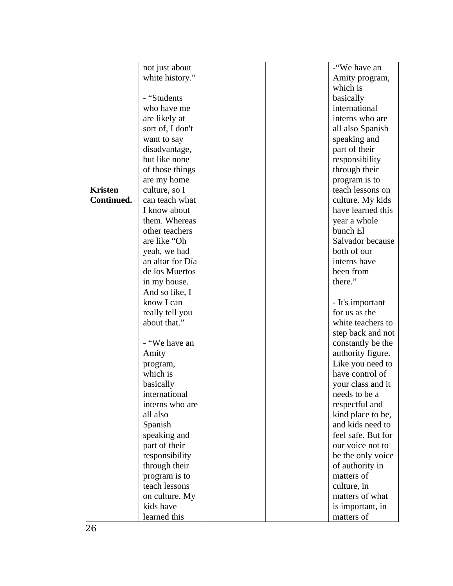|                | not just about   |  | -"We have an       |
|----------------|------------------|--|--------------------|
|                | white history."  |  | Amity program,     |
|                |                  |  | which is           |
|                | - "Students      |  | basically          |
|                | who have me      |  | international      |
|                | are likely at    |  | interns who are    |
|                | sort of, I don't |  | all also Spanish   |
|                | want to say      |  | speaking and       |
|                | disadvantage,    |  | part of their      |
|                | but like none    |  | responsibility     |
|                | of those things  |  | through their      |
|                | are my home      |  | program is to      |
| <b>Kristen</b> | culture, so I    |  | teach lessons on   |
| Continued.     | can teach what   |  | culture. My kids   |
|                | I know about     |  | have learned this  |
|                | them. Whereas    |  | year a whole       |
|                | other teachers   |  | bunch El           |
|                | are like "Oh     |  | Salvador because   |
|                | yeah, we had     |  | both of our        |
|                | an altar for Día |  | interns have       |
|                | de los Muertos   |  | been from          |
|                | in my house.     |  | there."            |
|                | And so like, I   |  |                    |
|                | know I can       |  | - It's important   |
|                | really tell you  |  | for us as the      |
|                | about that."     |  | white teachers to  |
|                |                  |  | step back and not  |
|                | - "We have an    |  | constantly be the  |
|                | Amity            |  | authority figure.  |
|                | program,         |  | Like you need to   |
|                | which is         |  | have control of    |
|                | basically        |  | your class and it  |
|                | international    |  | needs to be a      |
|                | interns who are  |  | respectful and     |
|                | all also         |  | kind place to be,  |
|                | Spanish          |  | and kids need to   |
|                | speaking and     |  | feel safe. But for |
|                | part of their    |  | our voice not to   |
|                | responsibility   |  | be the only voice  |
|                | through their    |  | of authority in    |
|                | program is to    |  | matters of         |
|                | teach lessons    |  | culture, in        |
|                | on culture. My   |  | matters of what    |
|                | kids have        |  | is important, in   |
|                | learned this     |  | matters of         |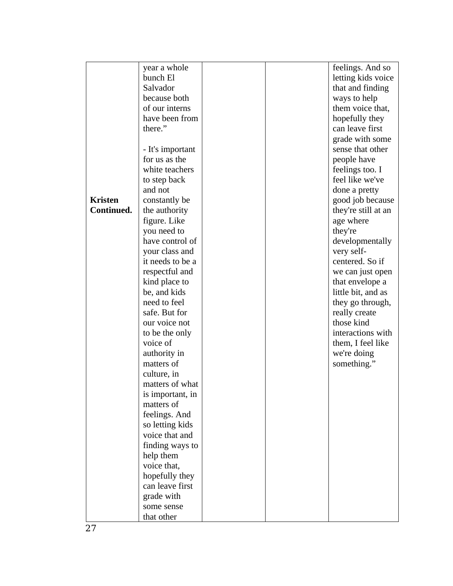|                | year a whole     |  | feelings. And so    |
|----------------|------------------|--|---------------------|
|                | bunch El         |  | letting kids voice  |
|                | Salvador         |  | that and finding    |
|                | because both     |  | ways to help        |
|                | of our interns   |  | them voice that,    |
|                | have been from   |  | hopefully they      |
|                | there."          |  | can leave first     |
|                |                  |  | grade with some     |
|                | - It's important |  | sense that other    |
|                | for us as the    |  | people have         |
|                | white teachers   |  | feelings too. I     |
|                | to step back     |  | feel like we've     |
|                | and not          |  | done a pretty       |
| <b>Kristen</b> | constantly be    |  | good job because    |
| Continued.     | the authority    |  | they're still at an |
|                | figure. Like     |  | age where           |
|                | you need to      |  | they're             |
|                | have control of  |  | developmentally     |
|                | your class and   |  | very self-          |
|                | it needs to be a |  | centered. So if     |
|                | respectful and   |  | we can just open    |
|                | kind place to    |  | that envelope a     |
|                | be, and kids     |  | little bit, and as  |
|                | need to feel     |  | they go through,    |
|                | safe. But for    |  | really create       |
|                | our voice not    |  | those kind          |
|                | to be the only   |  | interactions with   |
|                | voice of         |  | them, I feel like   |
|                | authority in     |  | we're doing         |
|                | matters of       |  | something."         |
|                | culture, in      |  |                     |
|                | matters of what  |  |                     |
|                | is important, in |  |                     |
|                | matters of       |  |                     |
|                | feelings. And    |  |                     |
|                | so letting kids  |  |                     |
|                | voice that and   |  |                     |
|                | finding ways to  |  |                     |
|                | help them        |  |                     |
|                | voice that,      |  |                     |
|                | hopefully they   |  |                     |
|                | can leave first  |  |                     |
|                | grade with       |  |                     |
|                | some sense       |  |                     |
|                | that other       |  |                     |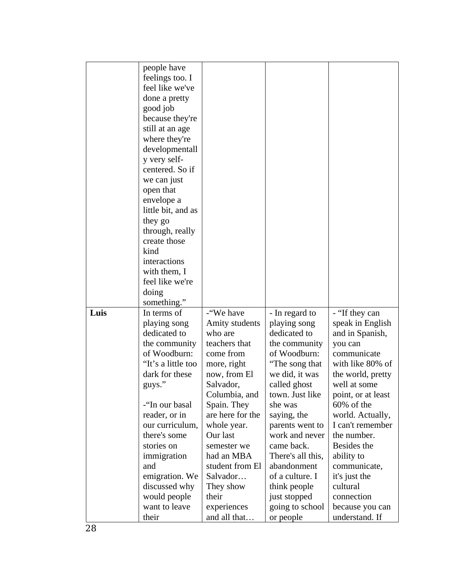|      | people have                  |                           |                   |                    |
|------|------------------------------|---------------------------|-------------------|--------------------|
|      | feelings too. I              |                           |                   |                    |
|      | feel like we've              |                           |                   |                    |
|      | done a pretty                |                           |                   |                    |
|      | good job                     |                           |                   |                    |
|      | because they're              |                           |                   |                    |
|      | still at an age              |                           |                   |                    |
|      | where they're                |                           |                   |                    |
|      | developmentall               |                           |                   |                    |
|      | y very self-                 |                           |                   |                    |
|      | centered. So if              |                           |                   |                    |
|      | we can just                  |                           |                   |                    |
|      | open that                    |                           |                   |                    |
|      | envelope a                   |                           |                   |                    |
|      | little bit, and as           |                           |                   |                    |
|      | they go                      |                           |                   |                    |
|      | through, really              |                           |                   |                    |
|      | create those                 |                           |                   |                    |
|      | kind                         |                           |                   |                    |
|      | interactions                 |                           |                   |                    |
|      | with them, I                 |                           |                   |                    |
|      | feel like we're              |                           |                   |                    |
|      | doing                        |                           |                   |                    |
|      | something."                  |                           |                   |                    |
| Luis | In terms of                  | -"We have                 |                   |                    |
|      |                              |                           | - In regard to    | - "If they can     |
|      | playing song<br>dedicated to | Amity students<br>who are | playing song      | speak in English   |
|      |                              |                           | dedicated to      | and in Spanish,    |
|      | the community                | teachers that             | the community     | you can            |
|      | of Woodburn:                 | come from                 | of Woodburn:      | communicate        |
|      | "It's a little too           | more, right               | "The song that    | with like 80% of   |
|      | dark for these               | now, from El              | we did, it was    | the world, pretty  |
|      | guys."                       | Salvador,                 | called ghost      | well at some       |
|      |                              | Columbia, and             | town. Just like   | point, or at least |
|      | -"In our basal               | Spain. They               | she was           | 60% of the         |
|      | reader, or in                | are here for the          | saying, the       | world. Actually,   |
|      | our curriculum,              | whole year.               | parents went to   | I can't remember   |
|      | there's some                 | Our last                  | work and never    | the number.        |
|      | stories on                   | semester we               | came back.        | Besides the        |
|      | immigration                  | had an MBA                | There's all this, | ability to         |
|      | and                          | student from El           | abandonment       | communicate,       |
|      | emigration. We               | Salvador                  | of a culture. I   | it's just the      |
|      | discussed why                | They show                 | think people      | cultural           |
|      | would people                 | their                     | just stopped      | connection         |
|      | want to leave                | experiences               | going to school   | because you can    |
|      | their                        | and all that              | or people         | understand. If     |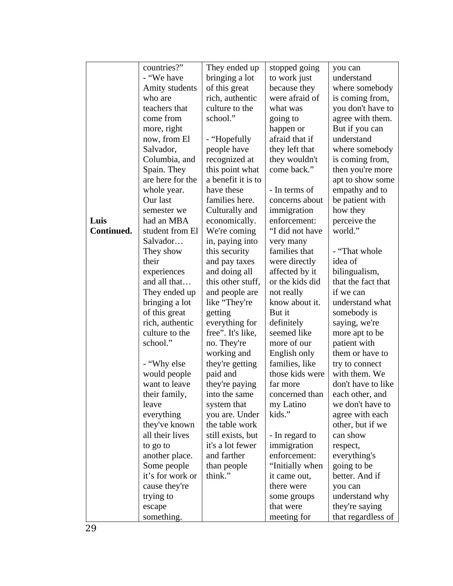|            | countries?"      | They ended up      | stopped going   | you can            |
|------------|------------------|--------------------|-----------------|--------------------|
|            | - "We have       | bringing a lot     | to work just    | understand         |
|            | Amity students   | of this great      | because they    | where somebody     |
|            | who are          | rich, authentic    | were afraid of  | is coming from,    |
|            | teachers that    | culture to the     | what was        | you don't have to  |
|            | come from        | school."           | going to        | agree with them.   |
|            | more, right      |                    | happen or       | But if you can     |
|            | now, from El     | - "Hopefully       | afraid that if  | understand         |
|            | Salvador,        | people have        | they left that  | where somebody     |
|            | Columbia, and    | recognized at      | they wouldn't   | is coming from,    |
|            | Spain. They      | this point what    | come back."     | then you're more   |
|            | are here for the | a benefit it is to |                 | apt to show some   |
|            | whole year.      | have these         | - In terms of   | empathy and to     |
|            | Our last         | families here.     | concerns about  | be patient with    |
|            | semester we      | Culturally and     | immigration     | how they           |
| Luis       | had an MBA       | economically.      | enforcement:    | perceive the       |
| Continued. | student from El  | We're coming       | "I did not have | world."            |
|            | Salvador         | in, paying into    | very many       |                    |
|            | They show        | this security      | families that   | - "That whole      |
|            | their            | and pay taxes      | were directly   | idea of            |
|            | experiences      | and doing all      | affected by it  | bilingualism,      |
|            | and all that     | this other stuff,  | or the kids did | that the fact that |
|            | They ended up    | and people are     | not really      | if we can          |
|            | bringing a lot   | like "They're      | know about it.  | understand what    |
|            | of this great    | getting            | But it          | somebody is        |
|            | rich, authentic  | everything for     | definitely      | saying, we're      |
|            | culture to the   | free". It's like,  | seemed like     | more apt to be     |
|            | school."         | no. They're        | more of our     | patient with       |
|            |                  | working and        | English only    | them or have to    |
|            | - "Why else      | they're getting    | families, like  | try to connect     |
|            | would people     | paid and           | those kids were | with them. We      |
|            | want to leave    | they're paying     | far more        | don't have to like |
|            | their family,    | into the same      | concerned than  | each other, and    |
|            | leave            | system that        | my Latino       | we don't have to   |
|            | everything       | you are. Under     | kids."          | agree with each    |
|            | they've known    | the table work     |                 | other, but if we   |
|            | all their lives  | still exists, but  | - In regard to  | can show           |
|            | to go to         | it's a lot fewer   | immigration     | respect,           |
|            | another place.   | and farther        | enforcement:    | everything's       |
|            | Some people      | than people        | "Initially when | going to be        |
|            | it's for work or | think."            | it came out,    | better. And if     |
|            | cause they're    |                    | there were      | you can            |
|            | trying to        |                    | some groups     | understand why     |
|            | escape           |                    | that were       | they're saying     |
|            | something.       |                    | meeting for     | that regardless of |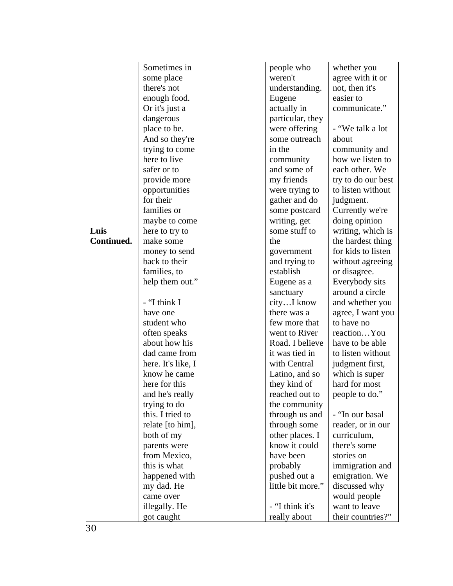|            | Sometimes in       | people who        | whether you        |
|------------|--------------------|-------------------|--------------------|
|            | some place         | weren't           | agree with it or   |
|            | there's not        | understanding.    | not, then it's     |
|            | enough food.       | Eugene            | easier to          |
|            | Or it's just a     | actually in       | communicate."      |
|            | dangerous          | particular, they  |                    |
|            | place to be.       | were offering     | - "We talk a lot   |
|            | And so they're     | some outreach     | about              |
|            | trying to come     | in the            | community and      |
|            | here to live       | community         | how we listen to   |
|            | safer or to        | and some of       | each other. We     |
|            | provide more       | my friends        | try to do our best |
|            | opportunities      | were trying to    | to listen without  |
|            | for their          | gather and do     | judgment.          |
|            | families or        | some postcard     | Currently we're    |
|            | maybe to come      | writing, get      | doing opinion      |
| Luis       | here to try to     | some stuff to     | writing, which is  |
| Continued. | make some          | the               | the hardest thing  |
|            | money to send      | government        | for kids to listen |
|            | back to their      | and trying to     | without agreeing   |
|            | families, to       | establish         | or disagree.       |
|            | help them out."    | Eugene as a       | Everybody sits     |
|            |                    | sanctuary         | around a circle    |
|            | - "I think I       | cityI know        | and whether you    |
|            | have one           | there was a       | agree, I want you  |
|            | student who        | few more that     | to have no         |
|            | often speaks       | went to River     | reactionYou        |
|            | about how his      | Road. I believe   | have to be able    |
|            | dad came from      | it was tied in    | to listen without  |
|            | here. It's like, I | with Central      | judgment first,    |
|            | know he came       | Latino, and so    | which is super     |
|            | here for this      | they kind of      | hard for most      |
|            | and he's really    | reached out to    | people to do."     |
|            | trying to do       | the community     |                    |
|            | this. I tried to   | through us and    | - "In our basal    |
|            | relate [to him],   | through some      | reader, or in our  |
|            | both of my         | other places. I   | curriculum,        |
|            | parents were       | know it could     | there's some       |
|            | from Mexico,       | have been         | stories on         |
|            | this is what       | probably          | immigration and    |
|            | happened with      | pushed out a      | emigration. We     |
|            | my dad. He         | little bit more." | discussed why      |
|            | came over          |                   | would people       |
|            | illegally. He      | - "I think it's   | want to leave      |
|            | got caught         | really about      | their countries?"  |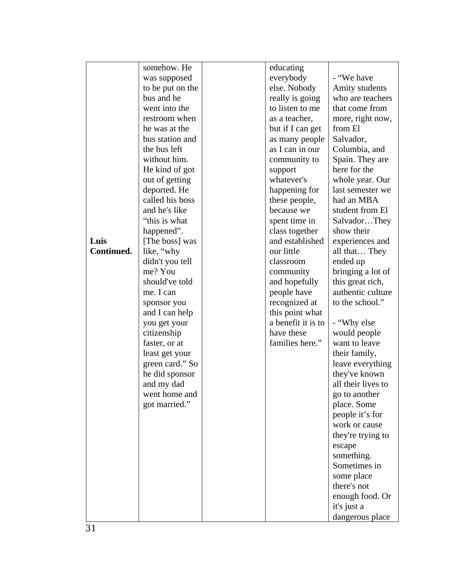|            | somehow. He      | educating          |                    |
|------------|------------------|--------------------|--------------------|
|            | was supposed     | everybody          | - "We have         |
|            | to be put on the | else. Nobody       | Amity students     |
|            | bus and he       | really is going    | who are teachers   |
|            | went into the    | to listen to me    | that come from     |
|            | restroom when    | as a teacher,      | more, right now,   |
|            | he was at the    | but if I can get   | from El            |
|            | bus station and  | as many people     | Salvador,          |
|            | the bus left     | as I can in our    | Columbia, and      |
|            | without him.     | community to       | Spain. They are    |
|            | He kind of got   | support            | here for the       |
|            | out of getting   | whatever's         | whole year. Our    |
|            | deported. He     | happening for      | last semester we   |
|            | called his boss  | these people,      | had an MBA         |
|            | and he's like    | because we         | student from El    |
|            | "this is what    | spent time in      | SalvadorThey       |
|            | happened".       | class together     | show their         |
| Luis       | [The boss] was   | and established    | experiences and    |
| Continued. | like, "why       | our little         | all that They      |
|            | didn't you tell  | classroom          | ended up           |
|            | me? You          | community          | bringing a lot of  |
|            | should've told   | and hopefully      | this great rich,   |
|            | me. I can        | people have        | authentic culture  |
|            | sponsor you      | recognized at      | to the school."    |
|            | and I can help   | this point what    |                    |
|            | you get your     | a benefit it is to | - "Why else        |
|            | citizenship      | have these         | would people       |
|            | faster, or at    | families here."    | want to leave      |
|            | least get your   |                    | their family,      |
|            | green card." So  |                    | leave everything   |
|            | he did sponsor   |                    | they've known      |
|            | and my dad       |                    | all their lives to |
|            | went home and    |                    | go to another      |
|            | got married."    |                    | place. Some        |
|            |                  |                    | people it's for    |
|            |                  |                    | work or cause      |
|            |                  |                    | they're trying to  |
|            |                  |                    | escape             |
|            |                  |                    | something.         |
|            |                  |                    | Sometimes in       |
|            |                  |                    | some place         |
|            |                  |                    | there's not        |
|            |                  |                    | enough food. Or    |
|            |                  |                    | it's just a        |
|            |                  |                    | dangerous place    |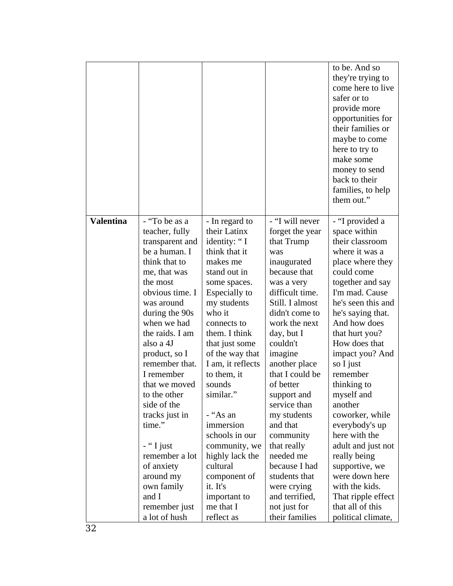|                  |                              |                                      |                                  | to be. And so<br>they're trying to<br>come here to live<br>safer or to<br>provide more<br>opportunities for<br>their families or |
|------------------|------------------------------|--------------------------------------|----------------------------------|----------------------------------------------------------------------------------------------------------------------------------|
|                  |                              |                                      |                                  | maybe to come                                                                                                                    |
|                  |                              |                                      |                                  | here to try to<br>make some                                                                                                      |
|                  |                              |                                      |                                  | money to send                                                                                                                    |
|                  |                              |                                      |                                  | back to their                                                                                                                    |
|                  |                              |                                      |                                  | families, to help                                                                                                                |
|                  |                              |                                      |                                  | them out."                                                                                                                       |
| <b>Valentina</b> | - "To be as a                | - In regard to                       | - "I will never                  | - "I provided a                                                                                                                  |
|                  | teacher, fully               | their Latinx                         | forget the year                  | space within                                                                                                                     |
|                  | transparent and              | identity: "I                         | that Trump                       | their classroom                                                                                                                  |
|                  | be a human. I                | think that it                        | was                              | where it was a                                                                                                                   |
|                  | think that to                | makes me                             | inaugurated                      | place where they                                                                                                                 |
|                  | me, that was<br>the most     | stand out in                         | because that                     | could come<br>together and say                                                                                                   |
|                  | obvious time. I              | some spaces.<br><b>Especially to</b> | was a very<br>difficult time.    | I'm mad. Cause                                                                                                                   |
|                  | was around                   | my students                          | Still. I almost                  | he's seen this and                                                                                                               |
|                  | during the 90s               | who it                               | didn't come to                   | he's saying that.                                                                                                                |
|                  | when we had                  | connects to                          | work the next                    | And how does                                                                                                                     |
|                  | the raids. I am              | them. I think                        | day, but I                       | that hurt you?                                                                                                                   |
|                  | also a 4J                    | that just some                       | couldn't                         | How does that                                                                                                                    |
|                  | product, so I                | of the way that                      | imagine                          | impact you? And                                                                                                                  |
|                  | remember that.<br>I remember | I am, it reflects                    | another place<br>that I could be | so I just<br>remember                                                                                                            |
|                  | that we moved                | to them, it<br>sounds                | of better                        | thinking to                                                                                                                      |
|                  | to the other                 | similar."                            | support and                      | myself and                                                                                                                       |
|                  | side of the                  |                                      | service than                     | another                                                                                                                          |
|                  | tracks just in               | - "As an                             | my students                      | coworker, while                                                                                                                  |
|                  | time."                       | immersion                            | and that                         | everybody's up                                                                                                                   |
|                  |                              | schools in our                       | community                        | here with the                                                                                                                    |
|                  | - "I just                    | community, we                        | that really                      | adult and just not                                                                                                               |
|                  | remember a lot<br>of anxiety | highly lack the<br>cultural          | needed me<br>because I had       | really being<br>supportive, we                                                                                                   |
|                  | around my                    | component of                         | students that                    | were down here                                                                                                                   |
|                  | own family                   | it. It's                             | were crying                      | with the kids.                                                                                                                   |
|                  | and I                        | important to                         | and terrified,                   | That ripple effect                                                                                                               |
|                  | remember just                | me that I                            | not just for                     | that all of this                                                                                                                 |
|                  | a lot of hush                | reflect as                           | their families                   | political climate,                                                                                                               |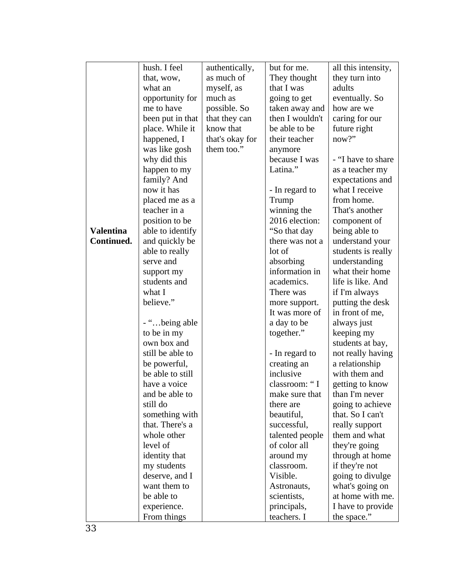|                  | hush. I feel     | authentically,  | but for me.     | all this intensity, |
|------------------|------------------|-----------------|-----------------|---------------------|
|                  | that, wow,       | as much of      | They thought    | they turn into      |
|                  | what an          | myself, as      | that I was      | adults              |
|                  | opportunity for  | much as         | going to get    | eventually. So      |
|                  | me to have       | possible. So    | taken away and  | how are we          |
|                  | been put in that | that they can   | then I wouldn't | caring for our      |
|                  | place. While it  | know that       | be able to be   | future right        |
|                  | happened, I      | that's okay for | their teacher   | now?"               |
|                  | was like gosh    | them too."      | anymore         |                     |
|                  | why did this     |                 | because I was   | - "I have to share  |
|                  | happen to my     |                 | Latina."        | as a teacher my     |
|                  | family? And      |                 |                 | expectations and    |
|                  | now it has       |                 | - In regard to  | what I receive      |
|                  | placed me as a   |                 | Trump           | from home.          |
|                  | teacher in a     |                 | winning the     | That's another      |
|                  | position to be   |                 | 2016 election:  | component of        |
| <b>Valentina</b> | able to identify |                 | "So that day    | being able to       |
| Continued.       | and quickly be   |                 | there was not a | understand your     |
|                  | able to really   |                 | lot of          | students is really  |
|                  | serve and        |                 | absorbing       | understanding       |
|                  | support my       |                 | information in  | what their home     |
|                  | students and     |                 | academics.      | life is like. And   |
|                  | what I           |                 | There was       | if I'm always       |
|                  | believe."        |                 | more support.   | putting the desk    |
|                  |                  |                 | It was more of  | in front of me,     |
|                  | - "being able    |                 | a day to be     | always just         |
|                  | to be in my      |                 | together."      | keeping my          |
|                  | own box and      |                 |                 | students at bay,    |
|                  | still be able to |                 | - In regard to  | not really having   |
|                  | be powerful,     |                 | creating an     | a relationship      |
|                  | be able to still |                 | inclusive       | with them and       |
|                  | have a voice     |                 | classroom: "I   | getting to know     |
|                  | and be able to   |                 | make sure that  | than I'm never      |
|                  | still do         |                 | there are       | going to achieve    |
|                  | something with   |                 | beautiful,      | that. So I can't    |
|                  | that. There's a  |                 | successful,     | really support      |
|                  | whole other      |                 | talented people | them and what       |
|                  | level of         |                 | of color all    | they're going       |
|                  | identity that    |                 | around my       | through at home     |
|                  | my students      |                 | classroom.      | if they're not      |
|                  | deserve, and I   |                 | Visible.        | going to divulge    |
|                  | want them to     |                 | Astronauts,     | what's going on     |
|                  | be able to       |                 | scientists,     | at home with me.    |
|                  | experience.      |                 | principals,     | I have to provide   |
|                  | From things      |                 | teachers. I     | the space."         |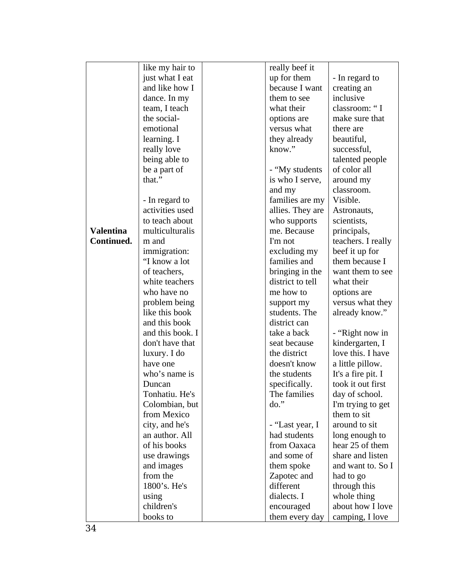|                  | like my hair to        | really beef it           |                                 |
|------------------|------------------------|--------------------------|---------------------------------|
|                  | just what I eat        | up for them              | - In regard to                  |
|                  | and like how I         | because I want           | creating an                     |
|                  | dance. In my           | them to see              | inclusive                       |
|                  | team, I teach          | what their               | classroom: "I                   |
|                  | the social-            | options are              | make sure that                  |
|                  | emotional              | versus what              | there are                       |
|                  | learning. I            | they already             | beautiful,                      |
|                  | really love            | know."                   | successful,                     |
|                  | being able to          |                          | talented people                 |
|                  | be a part of           | - "My students           | of color all                    |
|                  | that."                 | is who I serve,          | around my                       |
|                  |                        | and my                   | classroom.                      |
|                  | - In regard to         | families are my          | Visible.                        |
|                  | activities used        | allies. They are         | Astronauts,                     |
|                  | to teach about         | who supports             | scientists,                     |
| <b>Valentina</b> | multiculturalis        | me. Because              | principals,                     |
| Continued.       | m and                  | I'm not                  | teachers. I really              |
|                  | immigration:           | excluding my             | beef it up for                  |
|                  | "I know a lot          | families and             | them because I                  |
|                  | of teachers,           | bringing in the          | want them to see                |
|                  | white teachers         | district to tell         | what their                      |
|                  | who have no            | me how to                | options are                     |
|                  | problem being          | support my               | versus what they                |
|                  | like this book         | students. The            | already know."                  |
|                  | and this book          | district can             |                                 |
|                  | and this book. I       | take a back              | - "Right now in                 |
|                  | don't have that        | seat because             | kindergarten, I                 |
|                  | luxury. I do           | the district             | love this. I have               |
|                  | have one               | doesn't know             | a little pillow.                |
|                  | who's name is          | the students             | It's a fire pit. I              |
|                  | Duncan                 | specifically.            | took it out first               |
|                  | Tonhatiu. He's         | The families             | day of school.                  |
|                  | Colombian, but         | do."                     | I'm trying to get               |
|                  | from Mexico            |                          | them to sit                     |
|                  | city, and he's         | - "Last year, I          | around to sit                   |
|                  | an author. All         | had students             | long enough to                  |
|                  | of his books           | from Oaxaca              | hear 25 of them                 |
|                  | use drawings           | and some of              | share and listen                |
|                  | and images<br>from the | them spoke               | and want to. So I               |
|                  | 1800's. He's           | Zapotec and<br>different | had to go                       |
|                  |                        | dialects. I              | through this                    |
|                  | using<br>children's    |                          | whole thing<br>about how I love |
|                  |                        | encouraged               |                                 |
|                  | books to               | them every day           | camping, I love                 |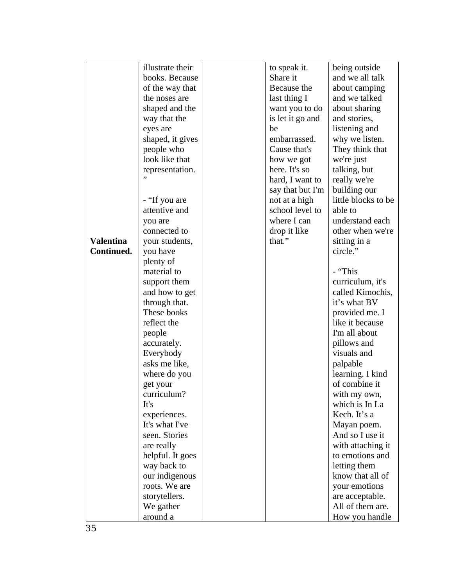|                  | illustrate their               | to speak it.     | being outside                  |
|------------------|--------------------------------|------------------|--------------------------------|
|                  | books. Because                 | Share it         | and we all talk                |
|                  | of the way that                | Because the      | about camping                  |
|                  | the noses are                  | last thing I     | and we talked                  |
|                  | shaped and the                 | want you to do   | about sharing                  |
|                  | way that the                   | is let it go and | and stories,                   |
|                  | eyes are                       | be               | listening and                  |
|                  | shaped, it gives               | embarrassed.     | why we listen.                 |
|                  | people who                     | Cause that's     | They think that                |
|                  | look like that                 | how we got       | we're just                     |
|                  | representation.                | here. It's so    | talking, but                   |
|                  | ,,                             | hard, I want to  | really we're                   |
|                  |                                | say that but I'm | building our                   |
|                  | - "If you are                  | not at a high    | little blocks to be            |
|                  | attentive and                  | school level to  | able to                        |
|                  | you are                        | where I can      | understand each                |
|                  | connected to                   | drop it like     | other when we're               |
| <b>Valentina</b> | your students,                 | that."           | sitting in a                   |
| Continued.       | you have                       |                  | circle."                       |
|                  | plenty of                      |                  |                                |
|                  | material to                    |                  | - "This                        |
|                  | support them                   |                  | curriculum, it's               |
|                  | and how to get                 |                  | called Kimochis,               |
|                  | through that.                  |                  | it's what BV                   |
|                  | These books                    |                  | provided me. I                 |
|                  | reflect the                    |                  | like it because                |
|                  | people                         |                  | I'm all about                  |
|                  | accurately.                    |                  | pillows and                    |
|                  | Everybody                      |                  | visuals and                    |
|                  | asks me like,                  |                  | palpable                       |
|                  | where do you                   |                  | learning. I kind               |
|                  | get your                       |                  | of combine it                  |
|                  | curriculum?                    |                  | with my own,                   |
|                  | It's                           |                  | which is In La<br>Kech. It's a |
|                  | experiences.<br>It's what I've |                  |                                |
|                  | seen. Stories                  |                  | Mayan poem.<br>And so I use it |
|                  | are really                     |                  | with attaching it              |
|                  | helpful. It goes               |                  | to emotions and                |
|                  | way back to                    |                  | letting them                   |
|                  | our indigenous                 |                  | know that all of               |
|                  | roots. We are                  |                  | your emotions                  |
|                  | storytellers.                  |                  | are acceptable.                |
|                  | We gather                      |                  | All of them are.               |
|                  | around a                       |                  | How you handle                 |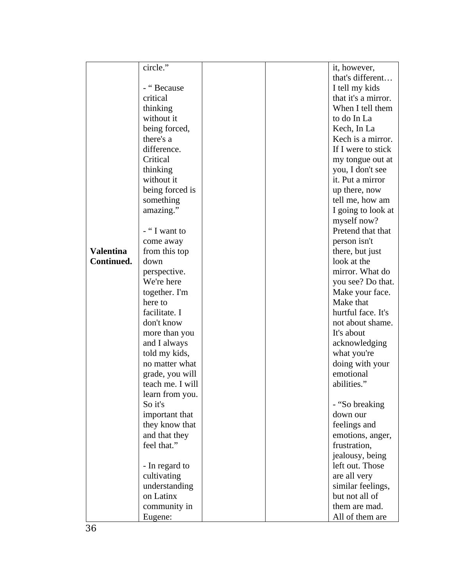|                  | circle."         |  | it, however,        |
|------------------|------------------|--|---------------------|
|                  |                  |  | that's different    |
|                  | - "Because       |  | I tell my kids      |
|                  | critical         |  | that it's a mirror. |
|                  | thinking         |  | When I tell them    |
|                  | without it       |  | to do In La         |
|                  | being forced,    |  | Kech, In La         |
|                  | there's a        |  | Kech is a mirror.   |
|                  | difference.      |  | If I were to stick  |
|                  | Critical         |  | my tongue out at    |
|                  | thinking         |  | you, I don't see    |
|                  | without it       |  | it. Put a mirror    |
|                  | being forced is  |  | up there, now       |
|                  | something        |  | tell me, how am     |
|                  | amazing."        |  | I going to look at  |
|                  |                  |  | myself now?         |
|                  | - "I want to     |  | Pretend that that   |
|                  | come away        |  | person isn't        |
| <b>Valentina</b> | from this top    |  | there, but just     |
| Continued.       | down             |  | look at the         |
|                  | perspective.     |  | mirror. What do     |
|                  | We're here       |  | you see? Do that.   |
|                  | together. I'm    |  | Make your face.     |
|                  | here to          |  | Make that           |
|                  | facilitate. I    |  | hurtful face. It's  |
|                  | don't know       |  | not about shame.    |
|                  | more than you    |  | It's about          |
|                  | and I always     |  | acknowledging       |
|                  | told my kids,    |  | what you're         |
|                  | no matter what   |  | doing with your     |
|                  | grade, you will  |  | emotional           |
|                  | teach me. I will |  | abilities."         |
|                  | learn from you.  |  |                     |
|                  | So it's          |  | - "So breaking      |
|                  | important that   |  | down our            |
|                  | they know that   |  | feelings and        |
|                  | and that they    |  | emotions, anger,    |
|                  | feel that."      |  | frustration,        |
|                  |                  |  | jealousy, being     |
|                  | - In regard to   |  | left out. Those     |
|                  | cultivating      |  | are all very        |
|                  | understanding    |  | similar feelings,   |
|                  | on Latinx        |  | but not all of      |
|                  | community in     |  | them are mad.       |
|                  | Eugene:          |  | All of them are     |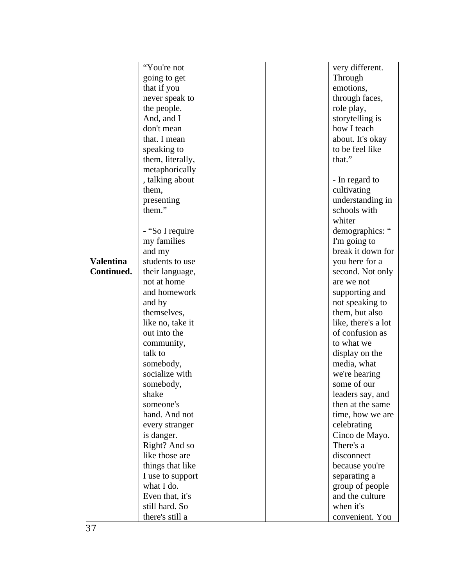|                  | "You're not      |  | very different.     |
|------------------|------------------|--|---------------------|
|                  | going to get     |  | Through             |
|                  | that if you      |  | emotions,           |
|                  | never speak to   |  | through faces,      |
|                  | the people.      |  | role play,          |
|                  | And, and I       |  | storytelling is     |
|                  | don't mean       |  | how I teach         |
|                  | that. I mean     |  | about. It's okay    |
|                  | speaking to      |  | to be feel like     |
|                  | them, literally, |  | that."              |
|                  | metaphorically   |  |                     |
|                  | , talking about  |  | - In regard to      |
|                  | them,            |  | cultivating         |
|                  | presenting       |  | understanding in    |
|                  | them."           |  | schools with        |
|                  |                  |  | whiter              |
|                  | - "So I require  |  | demographics: "     |
|                  | my families      |  | I'm going to        |
|                  | and my           |  | break it down for   |
| <b>Valentina</b> | students to use  |  | you here for a      |
| Continued.       | their language,  |  | second. Not only    |
|                  | not at home      |  | are we not          |
|                  | and homework     |  | supporting and      |
|                  | and by           |  | not speaking to     |
|                  | themselves,      |  | them, but also      |
|                  | like no, take it |  | like, there's a lot |
|                  | out into the     |  | of confusion as     |
|                  | community,       |  | to what we          |
|                  | talk to          |  | display on the      |
|                  | somebody,        |  | media, what         |
|                  | socialize with   |  | we're hearing       |
|                  | somebody,        |  | some of our         |
|                  | shake            |  | leaders say, and    |
|                  | someone's        |  | then at the same    |
|                  | hand. And not    |  | time, how we are    |
|                  | every stranger   |  | celebrating         |
|                  | is danger.       |  | Cinco de Mayo.      |
|                  | Right? And so    |  | There's a           |
|                  | like those are   |  | disconnect          |
|                  | things that like |  | because you're      |
|                  | I use to support |  | separating a        |
|                  | what I do.       |  | group of people     |
|                  | Even that, it's  |  | and the culture     |
|                  | still hard. So   |  | when it's           |
|                  | there's still a  |  | convenient. You     |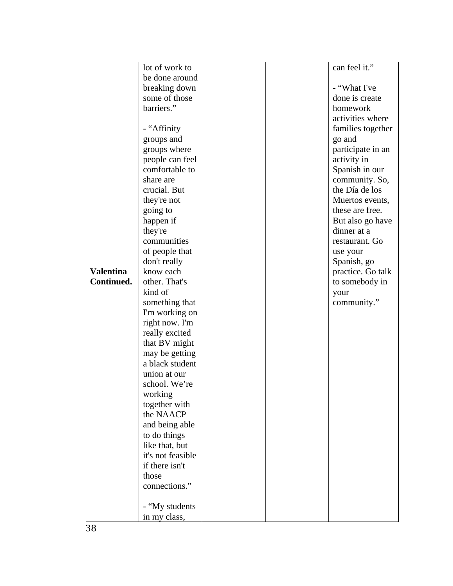|                  | lot of work to    |  | can feel it."     |
|------------------|-------------------|--|-------------------|
|                  | be done around    |  |                   |
|                  | breaking down     |  | - "What I've      |
|                  | some of those     |  | done is create    |
|                  | barriers."        |  | homework          |
|                  |                   |  | activities where  |
|                  | - "Affinity       |  | families together |
|                  |                   |  |                   |
|                  | groups and        |  | go and            |
|                  | groups where      |  | participate in an |
|                  | people can feel   |  | activity in       |
|                  | comfortable to    |  | Spanish in our    |
|                  | share are         |  | community. So,    |
|                  | crucial. But      |  | the Día de los    |
|                  | they're not       |  | Muertos events,   |
|                  | going to          |  | these are free.   |
|                  | happen if         |  | But also go have  |
|                  | they're           |  | dinner at a       |
|                  | communities       |  | restaurant. Go    |
|                  | of people that    |  | use your          |
|                  | don't really      |  | Spanish, go       |
| <b>Valentina</b> | know each         |  | practice. Go talk |
| Continued.       | other. That's     |  |                   |
|                  |                   |  | to somebody in    |
|                  | kind of           |  | your              |
|                  | something that    |  | community."       |
|                  | I'm working on    |  |                   |
|                  | right now. I'm    |  |                   |
|                  | really excited    |  |                   |
|                  | that BV might     |  |                   |
|                  | may be getting    |  |                   |
|                  | a black student   |  |                   |
|                  | union at our      |  |                   |
|                  | school. We're     |  |                   |
|                  | working           |  |                   |
|                  | together with     |  |                   |
|                  | the NAACP         |  |                   |
|                  |                   |  |                   |
|                  | and being able    |  |                   |
|                  | to do things      |  |                   |
|                  | like that, but    |  |                   |
|                  | it's not feasible |  |                   |
|                  | if there isn't    |  |                   |
|                  | those             |  |                   |
|                  | connections."     |  |                   |
|                  |                   |  |                   |
|                  | - "My students    |  |                   |
|                  | in my class,      |  |                   |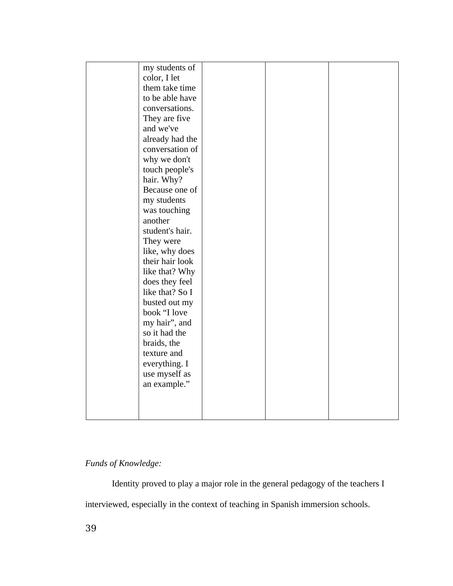| my students of<br>color, I let<br>them take time<br>to be able have<br>conversations.<br>They are five<br>and we've<br>already had the<br>conversation of<br>why we don't<br>touch people's                                                                                                                                                           |  |  |
|-------------------------------------------------------------------------------------------------------------------------------------------------------------------------------------------------------------------------------------------------------------------------------------------------------------------------------------------------------|--|--|
| hair. Why?<br>Because one of<br>my students<br>was touching<br>another<br>student's hair.<br>They were<br>like, why does<br>their hair look<br>like that? Why<br>does they feel<br>like that? So I<br>busted out my<br>book "I love<br>my hair", and<br>so it had the<br>braids, the<br>texture and<br>everything. I<br>use myself as<br>an example." |  |  |
|                                                                                                                                                                                                                                                                                                                                                       |  |  |

# *Funds of Knowledge:*

Identity proved to play a major role in the general pedagogy of the teachers I interviewed, especially in the context of teaching in Spanish immersion schools.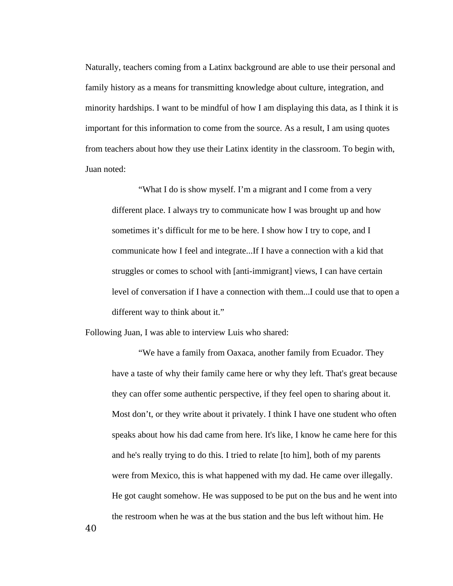Naturally, teachers coming from a Latinx background are able to use their personal and family history as a means for transmitting knowledge about culture, integration, and minority hardships. I want to be mindful of how I am displaying this data, as I think it is important for this information to come from the source. As a result, I am using quotes from teachers about how they use their Latinx identity in the classroom. To begin with, Juan noted:

"What I do is show myself. I'm a migrant and I come from a very different place. I always try to communicate how I was brought up and how sometimes it's difficult for me to be here. I show how I try to cope, and I communicate how I feel and integrate...If I have a connection with a kid that struggles or comes to school with [anti-immigrant] views, I can have certain level of conversation if I have a connection with them...I could use that to open a different way to think about it."

Following Juan, I was able to interview Luis who shared:

"We have a family from Oaxaca, another family from Ecuador. They have a taste of why their family came here or why they left. That's great because they can offer some authentic perspective, if they feel open to sharing about it. Most don't, or they write about it privately. I think I have one student who often speaks about how his dad came from here. It's like, I know he came here for this and he's really trying to do this. I tried to relate [to him], both of my parents were from Mexico, this is what happened with my dad. He came over illegally. He got caught somehow. He was supposed to be put on the bus and he went into the restroom when he was at the bus station and the bus left without him. He

40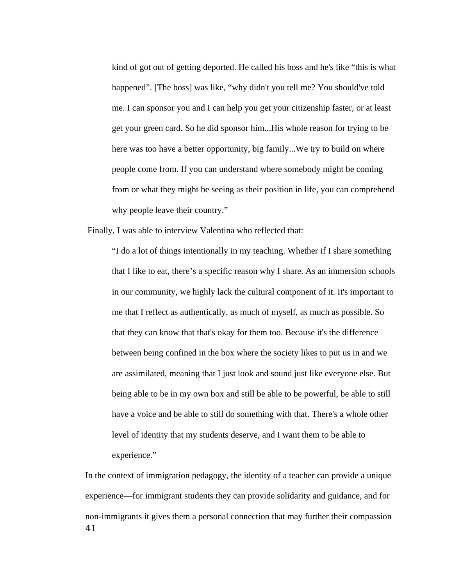kind of got out of getting deported. He called his boss and he's like "this is what happened". [The boss] was like, "why didn't you tell me? You should've told me. I can sponsor you and I can help you get your citizenship faster, or at least get your green card. So he did sponsor him...His whole reason for trying to be here was too have a better opportunity, big family...We try to build on where people come from. If you can understand where somebody might be coming from or what they might be seeing as their position in life, you can comprehend why people leave their country."

Finally, I was able to interview Valentina who reflected that:

"I do a lot of things intentionally in my teaching. Whether if I share something that I like to eat, there's a specific reason why I share. As an immersion schools in our community, we highly lack the cultural component of it. It's important to me that I reflect as authentically, as much of myself, as much as possible. So that they can know that that's okay for them too. Because it's the difference between being confined in the box where the society likes to put us in and we are assimilated, meaning that I just look and sound just like everyone else. But being able to be in my own box and still be able to be powerful, be able to still have a voice and be able to still do something with that. There's a whole other level of identity that my students deserve, and I want them to be able to experience."

In the context of immigration pedagogy, the identity of a teacher can provide a unique experience—for immigrant students they can provide solidarity and guidance, and for non-immigrants it gives them a personal connection that may further their compassion 41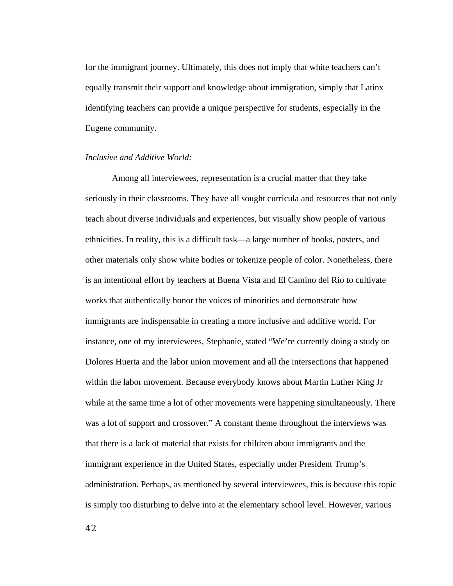for the immigrant journey. Ultimately, this does not imply that white teachers can't equally transmit their support and knowledge about immigration, simply that Latinx identifying teachers can provide a unique perspective for students, especially in the Eugene community.

## *Inclusive and Additive World:*

Among all interviewees, representation is a crucial matter that they take seriously in their classrooms. They have all sought curricula and resources that not only teach about diverse individuals and experiences, but visually show people of various ethnicities. In reality, this is a difficult task—a large number of books, posters, and other materials only show white bodies or tokenize people of color. Nonetheless, there is an intentional effort by teachers at Buena Vista and El Camino del Rio to cultivate works that authentically honor the voices of minorities and demonstrate how immigrants are indispensable in creating a more inclusive and additive world. For instance, one of my interviewees, Stephanie, stated "We're currently doing a study on Dolores Huerta and the labor union movement and all the intersections that happened within the labor movement. Because everybody knows about Martin Luther King Jr while at the same time a lot of other movements were happening simultaneously. There was a lot of support and crossover." A constant theme throughout the interviews was that there is a lack of material that exists for children about immigrants and the immigrant experience in the United States, especially under President Trump's administration. Perhaps, as mentioned by several interviewees, this is because this topic is simply too disturbing to delve into at the elementary school level. However, various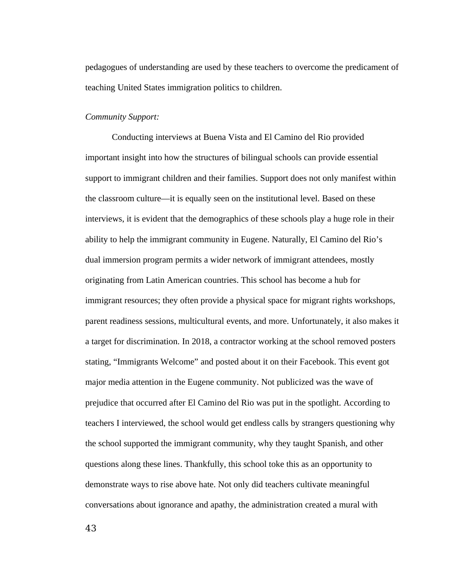pedagogues of understanding are used by these teachers to overcome the predicament of teaching United States immigration politics to children.

#### *Community Support:*

Conducting interviews at Buena Vista and El Camino del Rio provided important insight into how the structures of bilingual schools can provide essential support to immigrant children and their families. Support does not only manifest within the classroom culture—it is equally seen on the institutional level. Based on these interviews, it is evident that the demographics of these schools play a huge role in their ability to help the immigrant community in Eugene. Naturally, El Camino del Rio's dual immersion program permits a wider network of immigrant attendees, mostly originating from Latin American countries. This school has become a hub for immigrant resources; they often provide a physical space for migrant rights workshops, parent readiness sessions, multicultural events, and more. Unfortunately, it also makes it a target for discrimination. In 2018, a contractor working at the school removed posters stating, "Immigrants Welcome" and posted about it on their Facebook. This event got major media attention in the Eugene community. Not publicized was the wave of prejudice that occurred after El Camino del Rio was put in the spotlight. According to teachers I interviewed, the school would get endless calls by strangers questioning why the school supported the immigrant community, why they taught Spanish, and other questions along these lines. Thankfully, this school toke this as an opportunity to demonstrate ways to rise above hate. Not only did teachers cultivate meaningful conversations about ignorance and apathy, the administration created a mural with

43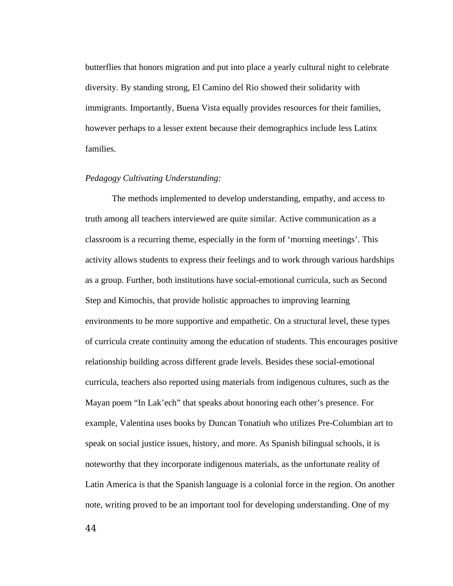butterflies that honors migration and put into place a yearly cultural night to celebrate diversity. By standing strong, El Camino del Rio showed their solidarity with immigrants. Importantly, Buena Vista equally provides resources for their families, however perhaps to a lesser extent because their demographics include less Latinx families.

#### *Pedagogy Cultivating Understanding:*

The methods implemented to develop understanding, empathy, and access to truth among all teachers interviewed are quite similar. Active communication as a classroom is a recurring theme, especially in the form of 'morning meetings'. This activity allows students to express their feelings and to work through various hardships as a group. Further, both institutions have social-emotional curricula, such as Second Step and Kimochis, that provide holistic approaches to improving learning environments to be more supportive and empathetic. On a structural level, these types of curricula create continuity among the education of students. This encourages positive relationship building across different grade levels. Besides these social-emotional curricula, teachers also reported using materials from indigenous cultures, such as the Mayan poem "In Lak'ech" that speaks about honoring each other's presence. For example, Valentina uses books by Duncan Tonatiuh who utilizes Pre-Columbian art to speak on social justice issues, history, and more. As Spanish bilingual schools, it is noteworthy that they incorporate indigenous materials, as the unfortunate reality of Latin America is that the Spanish language is a colonial force in the region. On another note, writing proved to be an important tool for developing understanding. One of my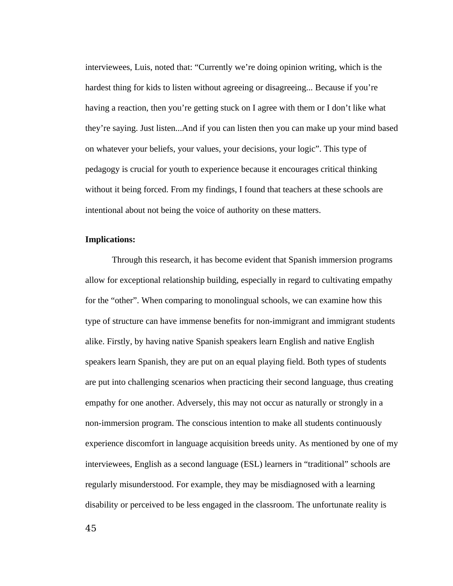interviewees, Luis, noted that: "Currently we're doing opinion writing, which is the hardest thing for kids to listen without agreeing or disagreeing... Because if you're having a reaction, then you're getting stuck on I agree with them or I don't like what they're saying. Just listen...And if you can listen then you can make up your mind based on whatever your beliefs, your values, your decisions, your logic". This type of pedagogy is crucial for youth to experience because it encourages critical thinking without it being forced. From my findings, I found that teachers at these schools are intentional about not being the voice of authority on these matters.

#### **Implications:**

Through this research, it has become evident that Spanish immersion programs allow for exceptional relationship building, especially in regard to cultivating empathy for the "other". When comparing to monolingual schools, we can examine how this type of structure can have immense benefits for non-immigrant and immigrant students alike. Firstly, by having native Spanish speakers learn English and native English speakers learn Spanish, they are put on an equal playing field. Both types of students are put into challenging scenarios when practicing their second language, thus creating empathy for one another. Adversely, this may not occur as naturally or strongly in a non-immersion program. The conscious intention to make all students continuously experience discomfort in language acquisition breeds unity. As mentioned by one of my interviewees, English as a second language (ESL) learners in "traditional" schools are regularly misunderstood. For example, they may be misdiagnosed with a learning disability or perceived to be less engaged in the classroom. The unfortunate reality is

45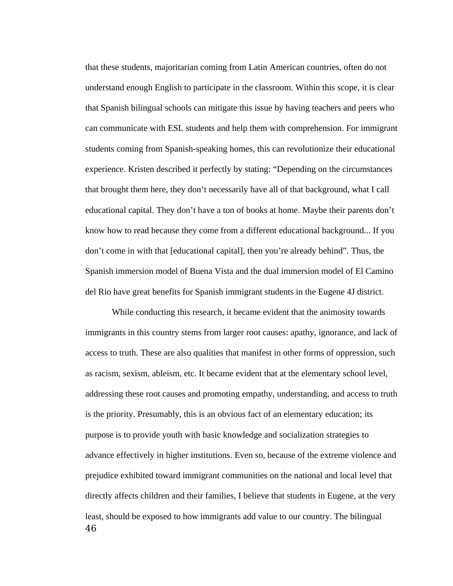that these students, majoritarian coming from Latin American countries, often do not understand enough English to participate in the classroom. Within this scope, it is clear that Spanish bilingual schools can mitigate this issue by having teachers and peers who can communicate with ESL students and help them with comprehension. For immigrant students coming from Spanish-speaking homes, this can revolutionize their educational experience. Kristen described it perfectly by stating: "Depending on the circumstances that brought them here, they don't necessarily have all of that background, what I call educational capital. They don't have a ton of books at home. Maybe their parents don't know how to read because they come from a different educational background... If you don't come in with that [educational capital], then you're already behind". Thus, the Spanish immersion model of Buena Vista and the dual immersion model of El Camino del Rio have great benefits for Spanish immigrant students in the Eugene 4J district.

While conducting this research, it became evident that the animosity towards immigrants in this country stems from larger root causes: apathy, ignorance, and lack of access to truth. These are also qualities that manifest in other forms of oppression, such as racism, sexism, ableism, etc. It became evident that at the elementary school level, addressing these root causes and promoting empathy, understanding, and access to truth is the priority. Presumably, this is an obvious fact of an elementary education; its purpose is to provide youth with basic knowledge and socialization strategies to advance effectively in higher institutions. Even so, because of the extreme violence and prejudice exhibited toward immigrant communities on the national and local level that directly affects children and their families, I believe that students in Eugene, at the very least, should be exposed to how immigrants add value to our country. The bilingual 46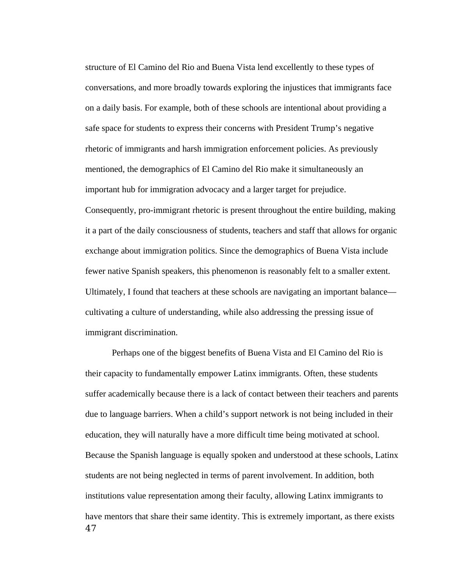structure of El Camino del Rio and Buena Vista lend excellently to these types of conversations, and more broadly towards exploring the injustices that immigrants face on a daily basis. For example, both of these schools are intentional about providing a safe space for students to express their concerns with President Trump's negative rhetoric of immigrants and harsh immigration enforcement policies. As previously mentioned, the demographics of El Camino del Rio make it simultaneously an important hub for immigration advocacy and a larger target for prejudice. Consequently, pro-immigrant rhetoric is present throughout the entire building, making it a part of the daily consciousness of students, teachers and staff that allows for organic exchange about immigration politics. Since the demographics of Buena Vista include fewer native Spanish speakers, this phenomenon is reasonably felt to a smaller extent. Ultimately, I found that teachers at these schools are navigating an important balance cultivating a culture of understanding, while also addressing the pressing issue of immigrant discrimination.

Perhaps one of the biggest benefits of Buena Vista and El Camino del Rio is their capacity to fundamentally empower Latinx immigrants. Often, these students suffer academically because there is a lack of contact between their teachers and parents due to language barriers. When a child's support network is not being included in their education, they will naturally have a more difficult time being motivated at school. Because the Spanish language is equally spoken and understood at these schools, Latinx students are not being neglected in terms of parent involvement. In addition, both institutions value representation among their faculty, allowing Latinx immigrants to have mentors that share their same identity. This is extremely important, as there exists 47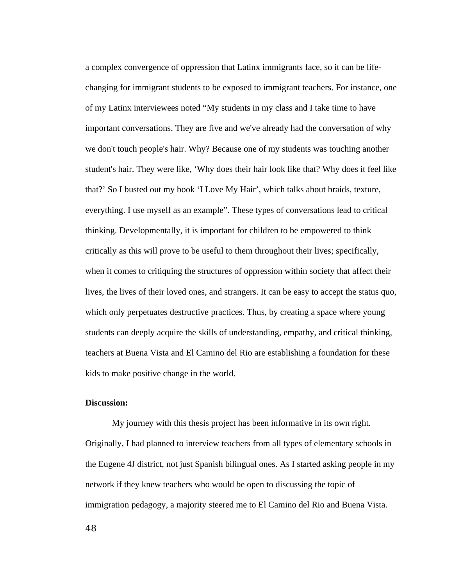a complex convergence of oppression that Latinx immigrants face, so it can be lifechanging for immigrant students to be exposed to immigrant teachers. For instance, one of my Latinx interviewees noted "My students in my class and I take time to have important conversations. They are five and we've already had the conversation of why we don't touch people's hair. Why? Because one of my students was touching another student's hair. They were like, 'Why does their hair look like that? Why does it feel like that?' So I busted out my book 'I Love My Hair', which talks about braids, texture, everything. I use myself as an example". These types of conversations lead to critical thinking. Developmentally, it is important for children to be empowered to think critically as this will prove to be useful to them throughout their lives; specifically, when it comes to critiquing the structures of oppression within society that affect their lives, the lives of their loved ones, and strangers. It can be easy to accept the status quo, which only perpetuates destructive practices. Thus, by creating a space where young students can deeply acquire the skills of understanding, empathy, and critical thinking, teachers at Buena Vista and El Camino del Rio are establishing a foundation for these kids to make positive change in the world.

### **Discussion:**

My journey with this thesis project has been informative in its own right. Originally, I had planned to interview teachers from all types of elementary schools in the Eugene 4J district, not just Spanish bilingual ones. As I started asking people in my network if they knew teachers who would be open to discussing the topic of immigration pedagogy, a majority steered me to El Camino del Rio and Buena Vista.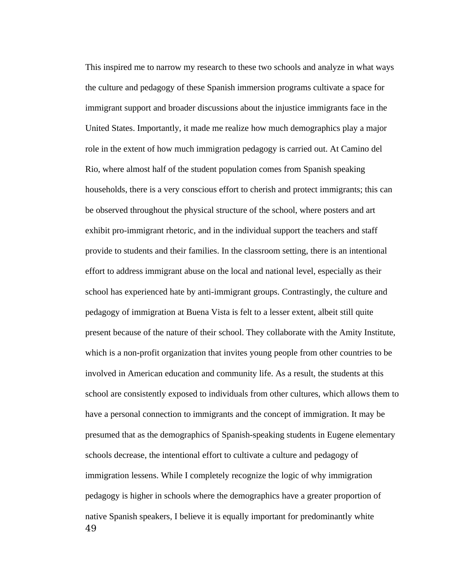This inspired me to narrow my research to these two schools and analyze in what ways the culture and pedagogy of these Spanish immersion programs cultivate a space for immigrant support and broader discussions about the injustice immigrants face in the United States. Importantly, it made me realize how much demographics play a major role in the extent of how much immigration pedagogy is carried out. At Camino del Rio, where almost half of the student population comes from Spanish speaking households, there is a very conscious effort to cherish and protect immigrants; this can be observed throughout the physical structure of the school, where posters and art exhibit pro-immigrant rhetoric, and in the individual support the teachers and staff provide to students and their families. In the classroom setting, there is an intentional effort to address immigrant abuse on the local and national level, especially as their school has experienced hate by anti-immigrant groups. Contrastingly, the culture and pedagogy of immigration at Buena Vista is felt to a lesser extent, albeit still quite present because of the nature of their school. They collaborate with the Amity Institute, which is a non-profit organization that invites young people from other countries to be involved in American education and community life. As a result, the students at this school are consistently exposed to individuals from other cultures, which allows them to have a personal connection to immigrants and the concept of immigration. It may be presumed that as the demographics of Spanish-speaking students in Eugene elementary schools decrease, the intentional effort to cultivate a culture and pedagogy of immigration lessens. While I completely recognize the logic of why immigration pedagogy is higher in schools where the demographics have a greater proportion of native Spanish speakers, I believe it is equally important for predominantly white 49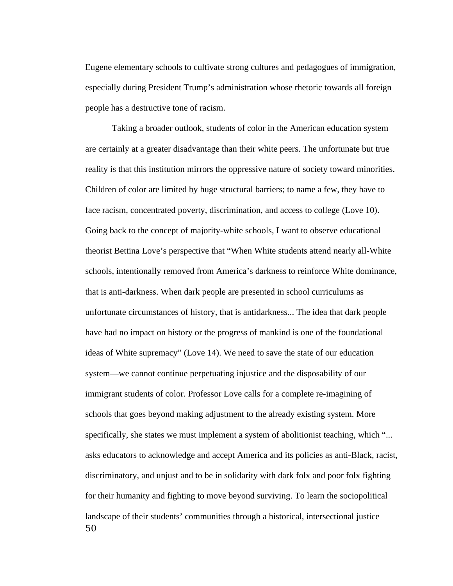Eugene elementary schools to cultivate strong cultures and pedagogues of immigration, especially during President Trump's administration whose rhetoric towards all foreign people has a destructive tone of racism.

Taking a broader outlook, students of color in the American education system are certainly at a greater disadvantage than their white peers. The unfortunate but true reality is that this institution mirrors the oppressive nature of society toward minorities. Children of color are limited by huge structural barriers; to name a few, they have to face racism, concentrated poverty, discrimination, and access to college (Love 10). Going back to the concept of majority-white schools, I want to observe educational theorist Bettina Love's perspective that "When White students attend nearly all-White schools, intentionally removed from America's darkness to reinforce White dominance, that is anti-darkness. When dark people are presented in school curriculums as unfortunate circumstances of history, that is antidarkness... The idea that dark people have had no impact on history or the progress of mankind is one of the foundational ideas of White supremacy" (Love 14). We need to save the state of our education system—we cannot continue perpetuating injustice and the disposability of our immigrant students of color. Professor Love calls for a complete re-imagining of schools that goes beyond making adjustment to the already existing system. More specifically, she states we must implement a system of abolitionist teaching, which "... asks educators to acknowledge and accept America and its policies as anti-Black, racist, discriminatory, and unjust and to be in solidarity with dark folx and poor folx fighting for their humanity and fighting to move beyond surviving. To learn the sociopolitical landscape of their students' communities through a historical, intersectional justice 50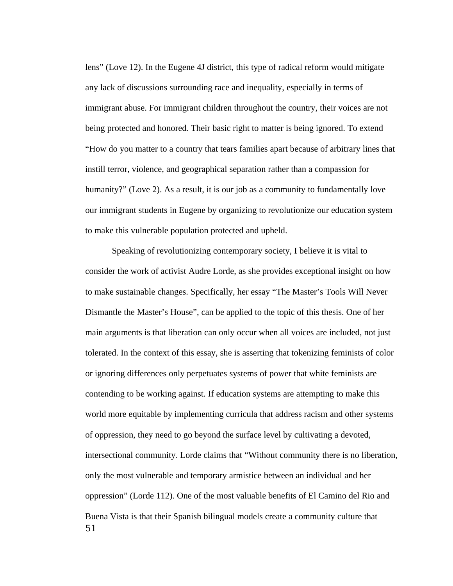lens" (Love 12). In the Eugene 4J district, this type of radical reform would mitigate any lack of discussions surrounding race and inequality, especially in terms of immigrant abuse. For immigrant children throughout the country, their voices are not being protected and honored. Their basic right to matter is being ignored. To extend "How do you matter to a country that tears families apart because of arbitrary lines that instill terror, violence, and geographical separation rather than a compassion for humanity?" (Love 2). As a result, it is our job as a community to fundamentally love our immigrant students in Eugene by organizing to revolutionize our education system to make this vulnerable population protected and upheld.

Speaking of revolutionizing contemporary society, I believe it is vital to consider the work of activist Audre Lorde, as she provides exceptional insight on how to make sustainable changes. Specifically, her essay "The Master's Tools Will Never Dismantle the Master's House", can be applied to the topic of this thesis. One of her main arguments is that liberation can only occur when all voices are included, not just tolerated. In the context of this essay, she is asserting that tokenizing feminists of color or ignoring differences only perpetuates systems of power that white feminists are contending to be working against. If education systems are attempting to make this world more equitable by implementing curricula that address racism and other systems of oppression, they need to go beyond the surface level by cultivating a devoted, intersectional community. Lorde claims that "Without community there is no liberation, only the most vulnerable and temporary armistice between an individual and her oppression" (Lorde 112). One of the most valuable benefits of El Camino del Rio and Buena Vista is that their Spanish bilingual models create a community culture that 51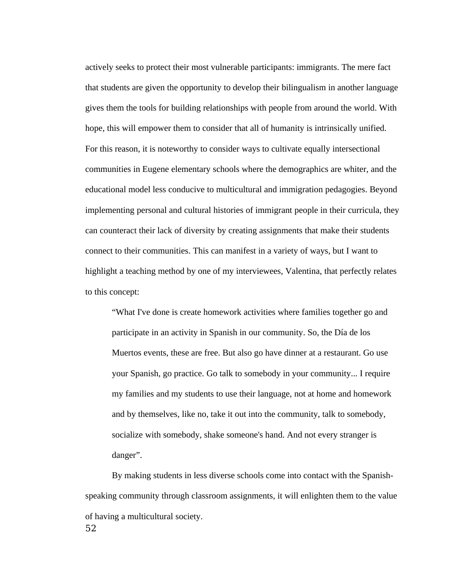actively seeks to protect their most vulnerable participants: immigrants. The mere fact that students are given the opportunity to develop their bilingualism in another language gives them the tools for building relationships with people from around the world. With hope, this will empower them to consider that all of humanity is intrinsically unified. For this reason, it is noteworthy to consider ways to cultivate equally intersectional communities in Eugene elementary schools where the demographics are whiter, and the educational model less conducive to multicultural and immigration pedagogies. Beyond implementing personal and cultural histories of immigrant people in their curricula, they can counteract their lack of diversity by creating assignments that make their students connect to their communities. This can manifest in a variety of ways, but I want to highlight a teaching method by one of my interviewees, Valentina, that perfectly relates to this concept:

"What I've done is create homework activities where families together go and participate in an activity in Spanish in our community. So, the Día de los Muertos events, these are free. But also go have dinner at a restaurant. Go use your Spanish, go practice. Go talk to somebody in your community... I require my families and my students to use their language, not at home and homework and by themselves, like no, take it out into the community, talk to somebody, socialize with somebody, shake someone's hand. And not every stranger is danger".

By making students in less diverse schools come into contact with the Spanishspeaking community through classroom assignments, it will enlighten them to the value of having a multicultural society. 52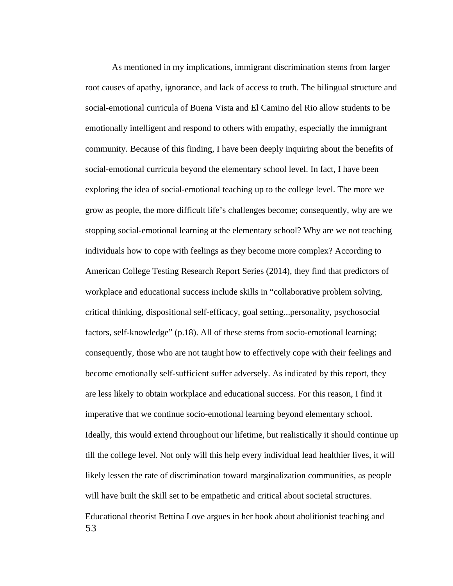As mentioned in my implications, immigrant discrimination stems from larger root causes of apathy, ignorance, and lack of access to truth. The bilingual structure and social-emotional curricula of Buena Vista and El Camino del Rio allow students to be emotionally intelligent and respond to others with empathy, especially the immigrant community. Because of this finding, I have been deeply inquiring about the benefits of social-emotional curricula beyond the elementary school level. In fact, I have been exploring the idea of social-emotional teaching up to the college level. The more we grow as people, the more difficult life's challenges become; consequently, why are we stopping social-emotional learning at the elementary school? Why are we not teaching individuals how to cope with feelings as they become more complex? According to American College Testing Research Report Series (2014), they find that predictors of workplace and educational success include skills in "collaborative problem solving, critical thinking, dispositional self-efficacy, goal setting...personality, psychosocial factors, self-knowledge" (p.18). All of these stems from socio-emotional learning; consequently, those who are not taught how to effectively cope with their feelings and become emotionally self-sufficient suffer adversely. As indicated by this report, they are less likely to obtain workplace and educational success. For this reason, I find it imperative that we continue socio-emotional learning beyond elementary school. Ideally, this would extend throughout our lifetime, but realistically it should continue up till the college level. Not only will this help every individual lead healthier lives, it will likely lessen the rate of discrimination toward marginalization communities, as people will have built the skill set to be empathetic and critical about societal structures. Educational theorist Bettina Love argues in her book about abolitionist teaching and 53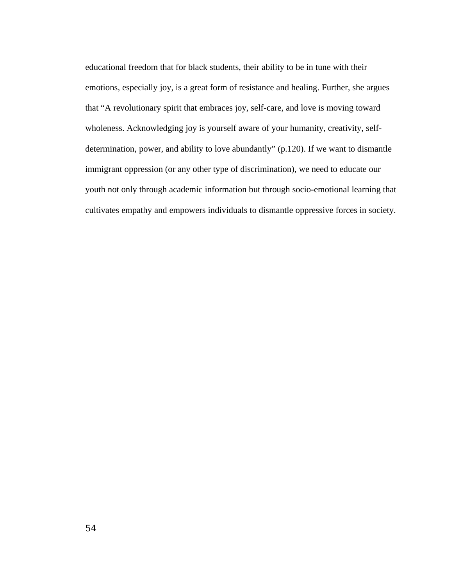educational freedom that for black students, their ability to be in tune with their emotions, especially joy, is a great form of resistance and healing. Further, she argues that "A revolutionary spirit that embraces joy, self-care, and love is moving toward wholeness. Acknowledging joy is yourself aware of your humanity, creativity, selfdetermination, power, and ability to love abundantly" (p.120). If we want to dismantle immigrant oppression (or any other type of discrimination), we need to educate our youth not only through academic information but through socio-emotional learning that cultivates empathy and empowers individuals to dismantle oppressive forces in society.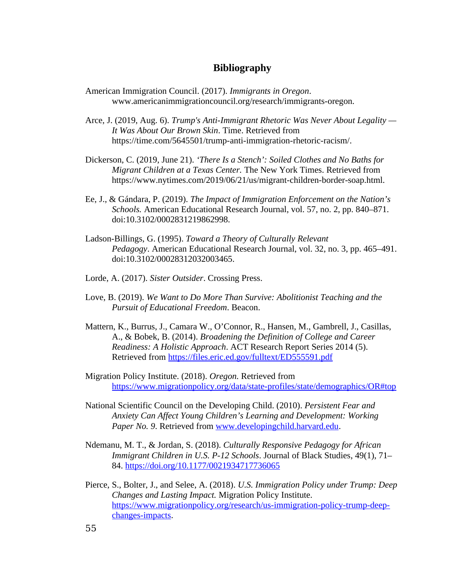## **Bibliography**

- American Immigration Council. (2017). *Immigrants in Oregon*. www.americanimmigrationcouncil.org/research/immigrants-oregon.
- Arce, J. (2019, Aug. 6). *Trump's Anti-Immigrant Rhetoric Was Never About Legality — It Was About Our Brown Skin*. Time. Retrieved from https://time.com/5645501/trump-anti-immigration-rhetoric-racism/.
- Dickerson, C. (2019, June 21). *'There Is a Stench': Soiled Clothes and No Baths for Migrant Children at a Texas Center.* The New York Times. Retrieved from https://www.nytimes.com/2019/06/21/us/migrant-children-border-soap.html.
- Ee, J., & Gándara, P. (2019). *The Impact of Immigration Enforcement on the Nation's Schools.* American Educational Research Journal, vol. 57, no. 2, pp. 840–871. doi:10.3102/0002831219862998.
- Ladson-Billings, G. (1995). *Toward a Theory of Culturally Relevant Pedagogy*. American Educational Research Journal, vol. 32, no. 3, pp. 465–491. doi:10.3102/00028312032003465.
- Lorde, A. (2017). *Sister Outsider*. Crossing Press.
- Love, B. (2019). *We Want to Do More Than Survive: Abolitionist Teaching and the Pursuit of Educational Freedom*. Beacon.
- Mattern, K., Burrus, J., Camara W., O'Connor, R., Hansen, M., Gambrell, J., Casillas, A., & Bobek, B. (2014). *Broadening the Definition of College and Career Readiness: A Holistic Approach*. ACT Research Report Series 2014 (5). Retrieved from<https://files.eric.ed.gov/fulltext/ED555591.pdf>
- Migration Policy Institute. (2018). *Oregon.* Retrieved from <https://www.migrationpolicy.org/data/state-profiles/state/demographics/OR#top>
- National Scientific Council on the Developing Child. (2010). *Persistent Fear and Anxiety Can Affect Young Children's Learning and Development: Working*  Paper No. 9. Retrieved from [www.developingchild.harvard.edu.](http://www.developingchild.harvard.edu/)
- Ndemanu, M. T., & Jordan, S. (2018). *Culturally Responsive Pedagogy for African Immigrant Children in U.S. P-12 Schools*. Journal of Black Studies, 49(1), 71– 84. <https://doi.org/10.1177/0021934717736065>
- Pierce, S., Bolter, J., and Selee, A. (2018). *U.S. Immigration Policy under Trump: Deep Changes and Lasting Impact.* Migration Policy Institute. [https://www.migrationpolicy.org/research/us-immigration-policy-trump-deep](https://www.migrationpolicy.org/research/us-immigration-policy-trump-deep-changes-impacts)[changes-impacts.](https://www.migrationpolicy.org/research/us-immigration-policy-trump-deep-changes-impacts)